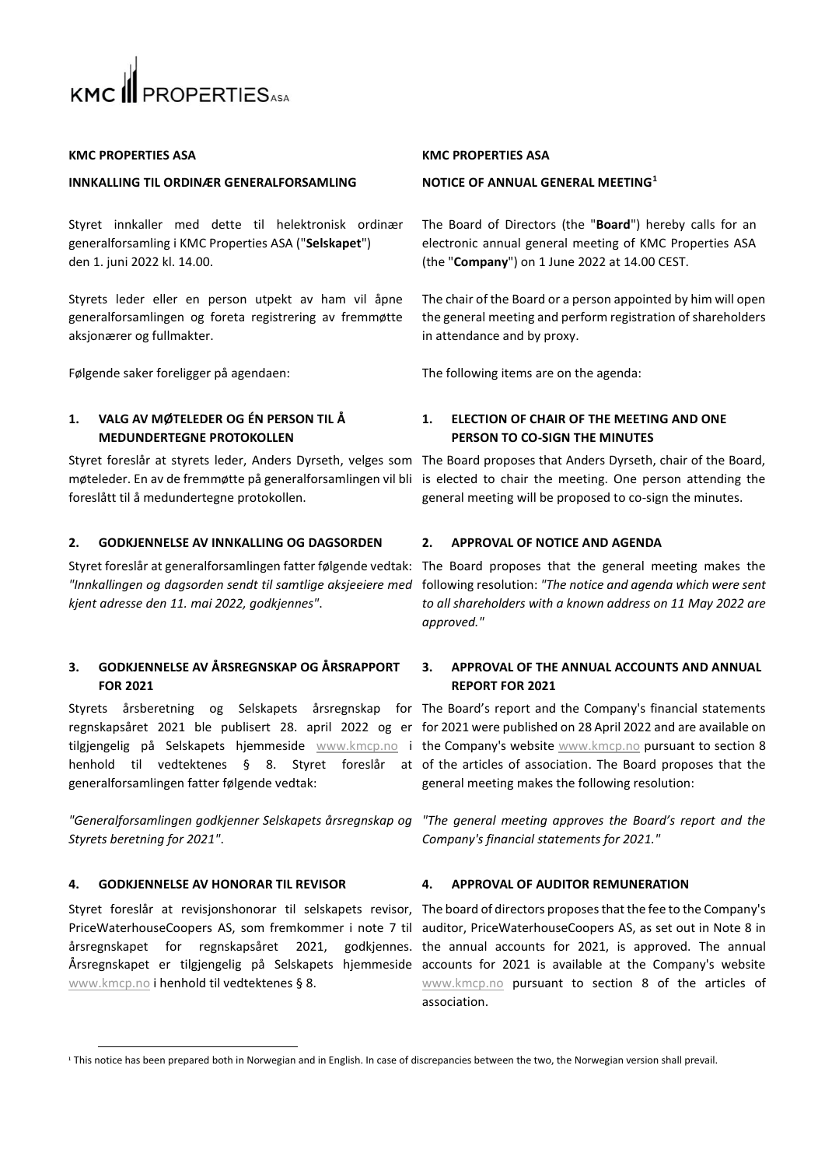

### **KMC PROPERTIES ASA**

### **INNKALLING TIL ORDINÆR GENERALFORSAMLING**

Styret innkaller med dette til helektronisk ordinær generalforsamling i KMC Properties ASA ("**Selskapet**") den 1. juni 2022 kl. 14.00.

Styrets leder eller en person utpekt av ham vil åpne generalforsamlingen og foreta registrering av fremmøtte aksjonærer og fullmakter.

Følgende saker foreligger på agendaen: The following items are on the agenda:

# **1. VALG AV MØTELEDER OG ÉN PERSON TIL Å MEDUNDERTEGNE PROTOKOLLEN**

Styret foreslår at styrets leder, Anders Dyrseth, velges som The Board proposes that Anders Dyrseth, chair of the Board, møteleder. En av de fremmøtte på generalforsamlingen vil bli is elected to chair the meeting. One person attending the foreslått til å medundertegne protokollen.

# **2. GODKJENNELSE AV INNKALLING OG DAGSORDEN 2. APPROVAL OF NOTICE AND AGENDA**

*kjent adresse den 11. mai 2022, godkjennes"*.

# **3. GODKJENNELSE AV ÅRSREGNSKAP OG ÅRSRAPPORT FOR 2021**

tilgjengelig på Selskapets hjemmeside [www.kmcp.no](http://www.kmcp.no/) i the Company's website www.kmcp.no pursuant to section 8 generalforsamlingen fatter følgende vedtak:

*"Generalforsamlingen godkjenner Selskapets årsregnskap og Styrets beretning for 2021"*.

# **4. GODKJENNELSE AV HONORAR TIL REVISOR 4. APPROVAL OF AUDITOR REMUNERATION**

Styret foreslår at revisjonshonorar til selskapets revisor, The board of directors proposes that the fee to the Company's Årsregnskapet er tilgjengelig på Selskapets hjemmeside accounts for 2021 is available at the Company's website [www.kmcp.no](http://www.kmcp.no/) i henhold til vedtektenes § 8.

### **KMC PROPERTIES ASA**

## **NOTICE OF ANNUAL GENERAL MEETING<sup>1</sup>**

The Board of Directors (the "**Board**") hereby calls for an electronic annual general meeting of KMC Properties ASA (the "**Company**") on 1 June 2022 at 14.00 CEST.

The chair of the Board or a person appointed by him will open the general meeting and perform registration of shareholders in attendance and by proxy.

# **1. ELECTION OF CHAIR OF THE MEETING AND ONE PERSON TO CO-SIGN THE MINUTES**

general meeting will be proposed to co-sign the minutes.

Styret foreslår at generalforsamlingen fatter følgende vedtak: The Board proposes that the general meeting makes the *"Innkallingen og dagsorden sendt til samtlige aksjeeiere med*  following resolution: *"The notice and agenda which were sent to all shareholders with a known address on 11 May 2022 are approved."*

# **3. APPROVAL OF THE ANNUAL ACCOUNTS AND ANNUAL REPORT FOR 2021**

Styrets årsberetning og Selskapets årsregnskap for The Board's report and the Company's financial statements regnskapsåret 2021 ble publisert 28. april 2022 og er for 2021 were published on 28 April 2022 and are available on henhold til vedtektenes § 8. Styret foreslår at of the articles of association. The Board proposes that the general meeting makes the following resolution:

> *"The general meeting approves the Board's report and the Company's financial statements for 2021."*

PriceWaterhouseCoopers AS, som fremkommer i note 7 til auditor, PriceWaterhouseCoopers AS, as set out in Note 8 in årsregnskapet for regnskapsåret 2021, godkjennes. the annual accounts for 2021, is approved. The annual [www.kmcp.no](http://www.kmcp.no/) pursuant to section 8 of the articles of association.

<sup>&</sup>lt;sup>1</sup> This notice has been prepared both in Norwegian and in English. In case of discrepancies between the two, the Norwegian version shall prevail.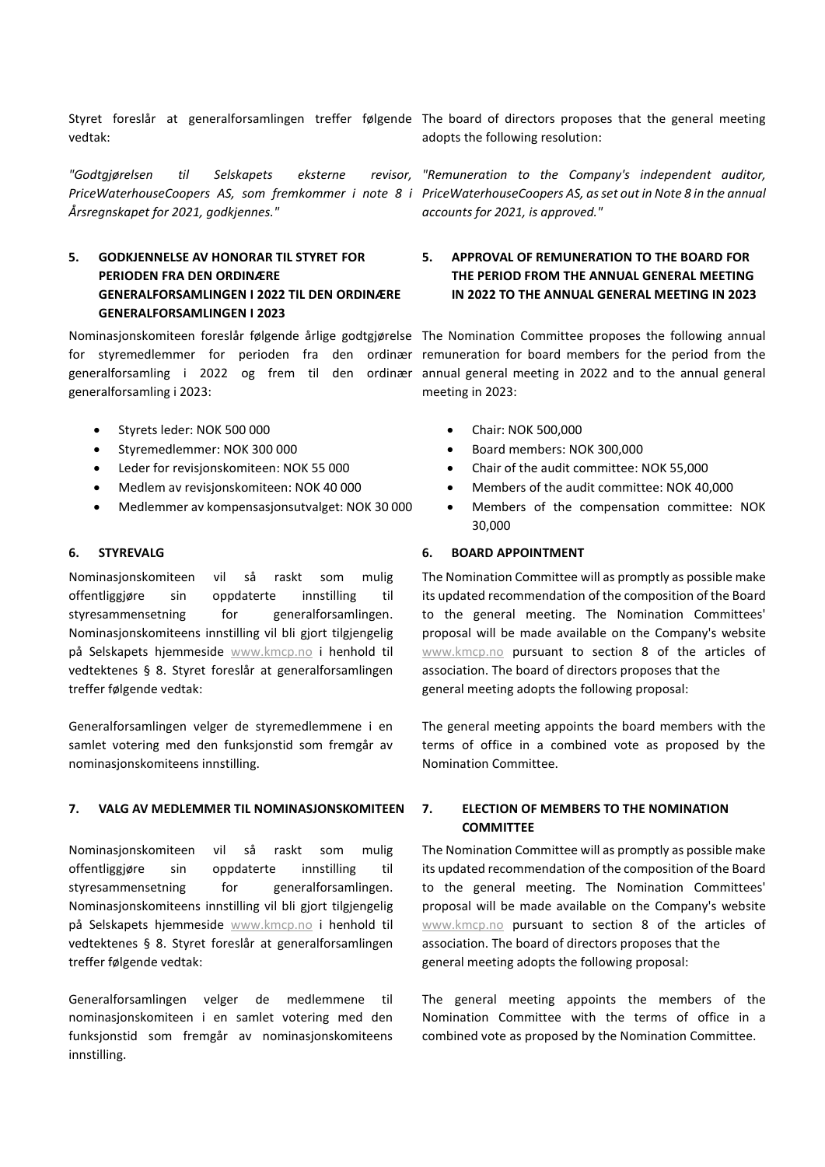vedtak:

*"Godtgjørelsen til Selskapets eksterne revisor, Årsregnskapet for 2021, godkjennes."*

# **5. GODKJENNELSE AV HONORAR TIL STYRET FOR PERIODEN FRA DEN ORDINÆRE GENERALFORSAMLINGEN I 2022 TIL DEN ORDINÆRE GENERALFORSAMLINGEN I 2023**

generalforsamling i 2023:

- Styrets leder: NOK 500 000
- Styremedlemmer: NOK 300 000
- Leder for revisjonskomiteen: NOK 55 000
- Medlem av revisjonskomiteen: NOK 40 000
- Medlemmer av kompensasjonsutvalget: NOK 30 000

Nominasjonskomiteen vil så raskt som mulig offentliggjøre sin oppdaterte innstilling til styresammensetning for generalforsamlingen. Nominasjonskomiteens innstilling vil bli gjort tilgjengelig på Selskapets hjemmeside [www.kmcp.no](http://www.kmcp.no/) i henhold til vedtektenes § 8. Styret foreslår at generalforsamlingen treffer følgende vedtak:

Generalforsamlingen velger de styremedlemmene i en samlet votering med den funksjonstid som fremgår av nominasjonskomiteens innstilling.

# **7. VALG AV MEDLEMMER TIL NOMINASJONSKOMITEEN 7. ELECTION OF MEMBERS TO THE NOMINATION**

Nominasjonskomiteen vil så raskt som mulig offentliggjøre sin oppdaterte innstilling til styresammensetning for generalforsamlingen. Nominasionskomiteens innstilling vil bli gjort tilgjengelig på Selskapets hjemmeside [www.kmcp.no](http://www.kmcp.no/) i henhold til vedtektenes § 8. Styret foreslår at generalforsamlingen treffer følgende vedtak:

Generalforsamlingen velger de medlemmene til nominasjonskomiteen i en samlet votering med den funksjonstid som fremgår av nominasjonskomiteens innstilling.

Styret foreslår at generalforsamlingen treffer følgende The board of directors proposes that the general meeting adopts the following resolution:

PriceWaterhouseCoopers AS, som fremkommer i note 8 i PriceWaterhouseCoopers AS, as set out in Note 8 in the annual *"Remuneration to the Company's independent auditor, accounts for 2021, is approved."*

# **5. APPROVAL OF REMUNERATION TO THE BOARD FOR THE PERIOD FROM THE ANNUAL GENERAL MEETING IN 2022 TO THE ANNUAL GENERAL MEETING IN 2023**

Nominasjonskomiteen foreslår følgende årlige godtgjørelse The Nomination Committee proposes the following annual for styremedlemmer for perioden fra den ordinær remuneration for board members for the period from the generalforsamling i 2022 og frem til den ordinær annual general meeting in 2022 and to the annual general meeting in 2023:

- Chair: NOK 500,000
- Board members: NOK 300,000
- Chair of the audit committee: NOK 55,000
- Members of the audit committee: NOK 40,000
- Members of the compensation committee: NOK 30,000

# **6. STYREVALG 6. BOARD APPOINTMENT**

The Nomination Committee will as promptly as possible make its updated recommendation of the composition of the Board to the general meeting. The Nomination Committees' proposal will be made available on the Company's website [www.kmcp.no](http://www.kmcp.no/) pursuant to section 8 of the articles of association. The board of directors proposes that the general meeting adopts the following proposal:

The general meeting appoints the board members with the terms of office in a combined vote as proposed by the Nomination Committee.

# **COMMITTEE**

The Nomination Committee will as promptly as possible make its updated recommendation of the composition of the Board to the general meeting. The Nomination Committees' proposal will be made available on the Company's website [www.kmcp.no](http://www.kmcp.no/) pursuant to section 8 of the articles of association. The board of directors proposes that the general meeting adopts the following proposal:

The general meeting appoints the members of the Nomination Committee with the terms of office in a combined vote as proposed by the Nomination Committee.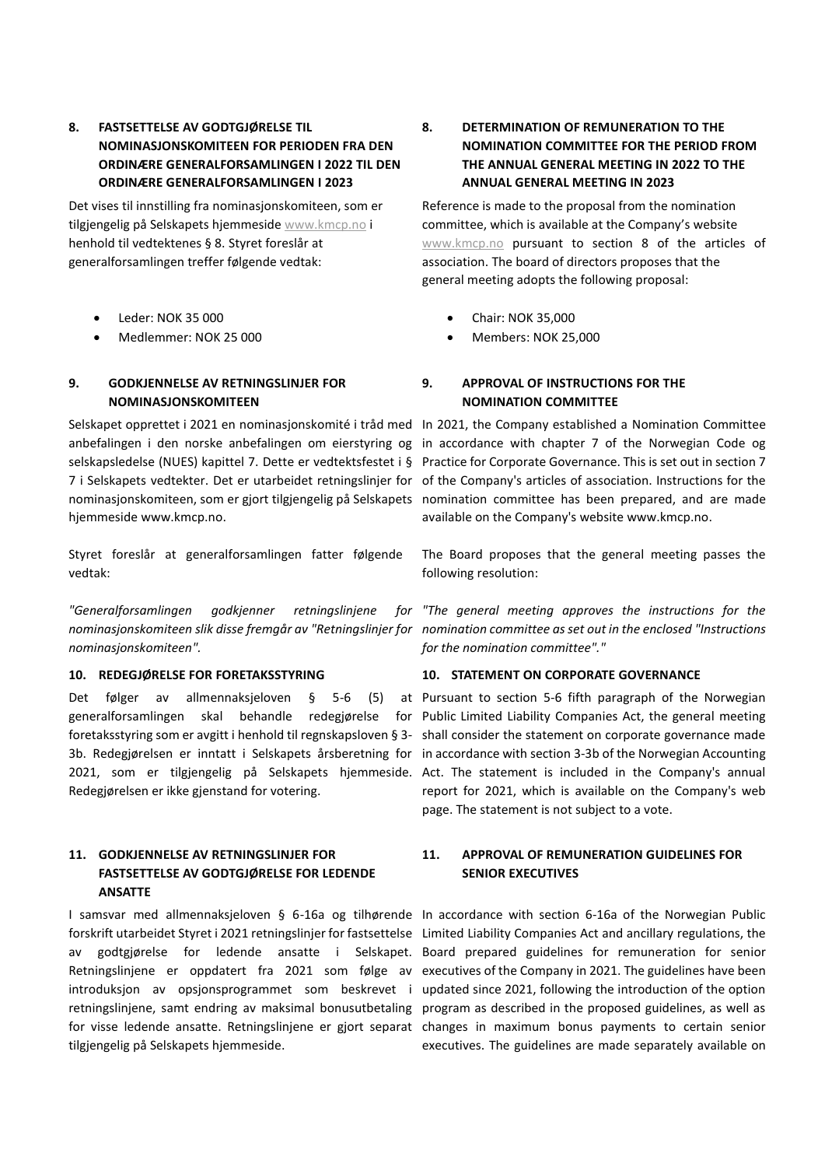# **8. FASTSETTELSE AV GODTGJØRELSE TIL NOMINASJONSKOMITEEN FOR PERIODEN FRA DEN ORDINÆRE GENERALFORSAMLINGEN I 2022 TIL DEN ORDINÆRE GENERALFORSAMLINGEN I 2023**

Det vises til innstilling fra nominasjonskomiteen, som er tilgjengelig på Selskapets hjemmesid[e www.kmcp.no](http://www.kmcp.no/) i henhold til vedtektenes § 8. Styret foreslår at generalforsamlingen treffer følgende vedtak:

- Leder: NOK 35 000
- Medlemmer: NOK 25 000

# **9. GODKJENNELSE AV RETNINGSLINJER FOR NOMINASJONSKOMITEEN**

anbefalingen i den norske anbefalingen om eierstyring og hjemmeside www.kmcp.no.

Styret foreslår at generalforsamlingen fatter følgende vedtak:

*nominasjonskomiteen".*

Redegjørelsen er ikke gjenstand for votering.

# **11. GODKJENNELSE AV RETNINGSLINJER FOR FASTSETTELSE AV GODTGJØRELSE FOR LEDENDE ANSATTE**

tilgjengelig på Selskapets hjemmeside.

# **8. DETERMINATION OF REMUNERATION TO THE NOMINATION COMMITTEE FOR THE PERIOD FROM THE ANNUAL GENERAL MEETING IN 2022 TO THE ANNUAL GENERAL MEETING IN 2023**

Reference is made to the proposal from the nomination committee, which is available at the Company's website [www.kmcp.no](http://www.kmcp.no/) pursuant to section 8 of the articles of association. The board of directors proposes that the general meeting adopts the following proposal:

- Chair: NOK 35,000
- Members: NOK 25,000

# **9. APPROVAL OF INSTRUCTIONS FOR THE NOMINATION COMMITTEE**

Selskapet opprettet i 2021 en nominasjonskomité i tråd med In 2021, the Company established a Nomination Committee selskapsledelse (NUES) kapittel 7. Dette er vedtektsfestet i § Practice for Corporate Governance. This is set out in section 7 7 i Selskapets vedtekter. Det er utarbeidet retningslinjer for of the Company's articles of association. Instructions for the nominasjonskomiteen, som er gjort tilgjengelig på Selskapets nomination committee has been prepared, and are made in accordance with chapter 7 of the Norwegian Code og available on the Company's website www.kmcp.no.

> The Board proposes that the general meeting passes the following resolution:

"Generalforsamlingen godkjenner retningslinjene for "The general meeting approves the instructions for the *nominasjonskomiteen slik disse fremgår av "Retningslinjer for nomination committee as set out in the enclosed "Instructions for the nomination committee"."*

## **10. REDEGJØRELSE FOR FORETAKSSTYRING 10. STATEMENT ON CORPORATE GOVERNANCE**

Det følger av allmennaksjeloven § 5-6 (5) at Pursuant to section 5-6 fifth paragraph of the Norwegian generalforsamlingen skal behandle redegjørelse for Public Limited Liability Companies Act, the general meeting foretaksstyring som er avgitt i henhold til regnskapsloven § 3- shall consider the statement on corporate governance made 3b. Redegjørelsen er inntatt i Selskapets årsberetning for in accordance with section 3-3b of the Norwegian Accounting 2021, som er tilgjengelig på Selskapets hjemmeside. Act. The statement is included in the Company's annual report for 2021, which is available on the Company's web page. The statement is not subject to a vote.

# **11. APPROVAL OF REMUNERATION GUIDELINES FOR SENIOR EXECUTIVES**

I samsvar med allmennaksjeloven § 6-16a og tilhørende In accordance with section 6-16a of the Norwegian Public forskrift utarbeidet Styret i 2021 retningslinjer for fastsettelse Limited Liability Companies Act and ancillary regulations, the av godtgjørelse for ledende ansatte i Selskapet. Board prepared guidelines for remuneration for senior Retningslinjene er oppdatert fra 2021 som følge av executives of the Company in 2021. The guidelines have been introduksjon av opsjonsprogrammet som beskrevet i updated since 2021, following the introduction of the option retningslinjene, samt endring av maksimal bonusutbetaling program as described in the proposed guidelines, as well as for visse ledende ansatte. Retningslinjene er gjort separat changes in maximum bonus payments to certain senior executives. The guidelines are made separately available on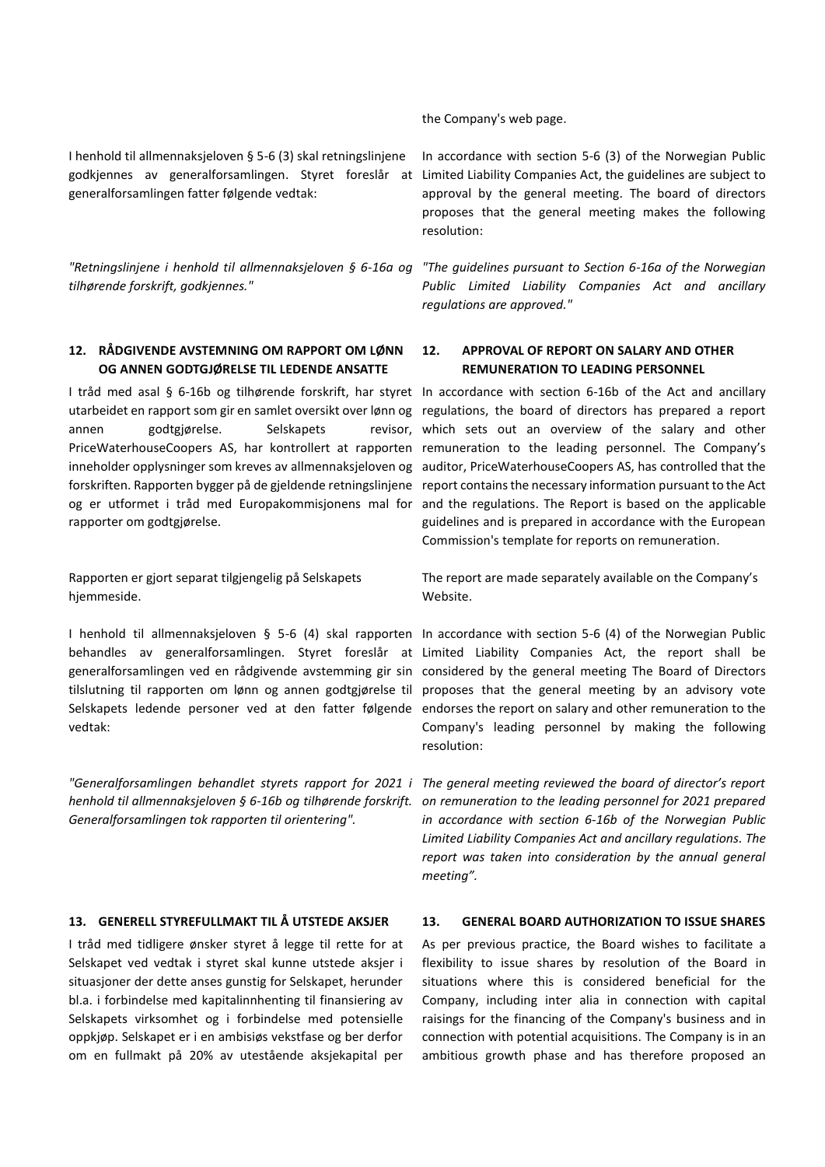I henhold til allmennaksjeloven § 5-6 (3) skal retningslinjene generalforsamlingen fatter følgende vedtak:

*"Retningslinjene i henhold til allmennaksjeloven § 6-16a og tilhørende forskrift, godkjennes."*

# **12. RÅDGIVENDE AVSTEMNING OM RAPPORT OM LØNN OG ANNEN GODTGJØRELSE TIL LEDENDE ANSATTE**

utarbeidet en rapport som gir en samlet oversikt over lønn og regulations, the board of directors has prepared a report annen godtgjørelse. Selskapets rapporter om godtgjørelse.

Rapporten er gjort separat tilgjengelig på Selskapets hjemmeside.

I henhold til allmennaksjeloven § 5-6 (4) skal rapporten In accordance with section 5-6 (4) of the Norwegian Public behandles av generalforsamlingen. Styret foreslår at Limited Liability Companies Act, the report shall be generalforsamlingen ved en rådgivende avstemming gir sin considered by the general meeting The Board of Directors tilslutning til rapporten om lønn og annen godtgjørelse til proposes that the general meeting by an advisory vote Selskapets ledende personer ved at den fatter følgende endorses the report on salary and other remuneration to the vedtak:

*Generalforsamlingen tok rapporten til orientering".*

I tråd med tidligere ønsker styret å legge til rette for at Selskapet ved vedtak i styret skal kunne utstede aksjer i situasjoner der dette anses gunstig for Selskapet, herunder bl.a. i forbindelse med kapitalinnhenting til finansiering av Selskapets virksomhet og i forbindelse med potensielle oppkjøp. Selskapet er i en ambisiøs vekstfase og ber derfor om en fullmakt på 20% av utestående aksjekapital per

the Company's web page.

godkjennes av generalforsamlingen. Styret foreslår at Limited Liability Companies Act, the guidelines are subject to In accordance with section 5-6 (3) of the Norwegian Public approval by the general meeting. The board of directors proposes that the general meeting makes the following resolution:

> *"The guidelines pursuant to Section 6-16a of the Norwegian Public Limited Liability Companies Act and ancillary regulations are approved."*

# **12. APPROVAL OF REPORT ON SALARY AND OTHER REMUNERATION TO LEADING PERSONNEL**

I tråd med asal § 6-16b og tilhørende forskrift, har styret In accordance with section 6-16b of the Act and ancillary PriceWaterhouseCoopers AS, har kontrollert at rapporten remuneration to the leading personnel. The Company's inneholder opplysninger som kreves av allmennaksjeloven og auditor, PriceWaterhouseCoopers AS, has controlled that the forskriften. Rapporten bygger på de gjeldende retningslinjene report contains the necessary information pursuant to the Act og er utformet i tråd med Europakommisjonens mal for and the regulations. The Report is based on the applicable revisor, which sets out an overview of the salary and other guidelines and is prepared in accordance with the European Commission's template for reports on remuneration.

> The report are made separately available on the Company's Website.

Company's leading personnel by making the following resolution:

"Generalforsamlingen behandlet styrets rapport for 2021 i The general meeting reviewed the board of director's report *henhold til allmennaksjeloven § 6-16b og tilhørende forskrift. on remuneration to the leading personnel for 2021 prepared in accordance with section 6-16b of the Norwegian Public Limited Liability Companies Act and ancillary regulations. The report was taken into consideration by the annual general meeting".*

# **13. GENERELL STYREFULLMAKT TIL Å UTSTEDE AKSJER 13. GENERAL BOARD AUTHORIZATION TO ISSUE SHARES**

As per previous practice, the Board wishes to facilitate a flexibility to issue shares by resolution of the Board in situations where this is considered beneficial for the Company, including inter alia in connection with capital raisings for the financing of the Company's business and in connection with potential acquisitions. The Company is in an ambitious growth phase and has therefore proposed an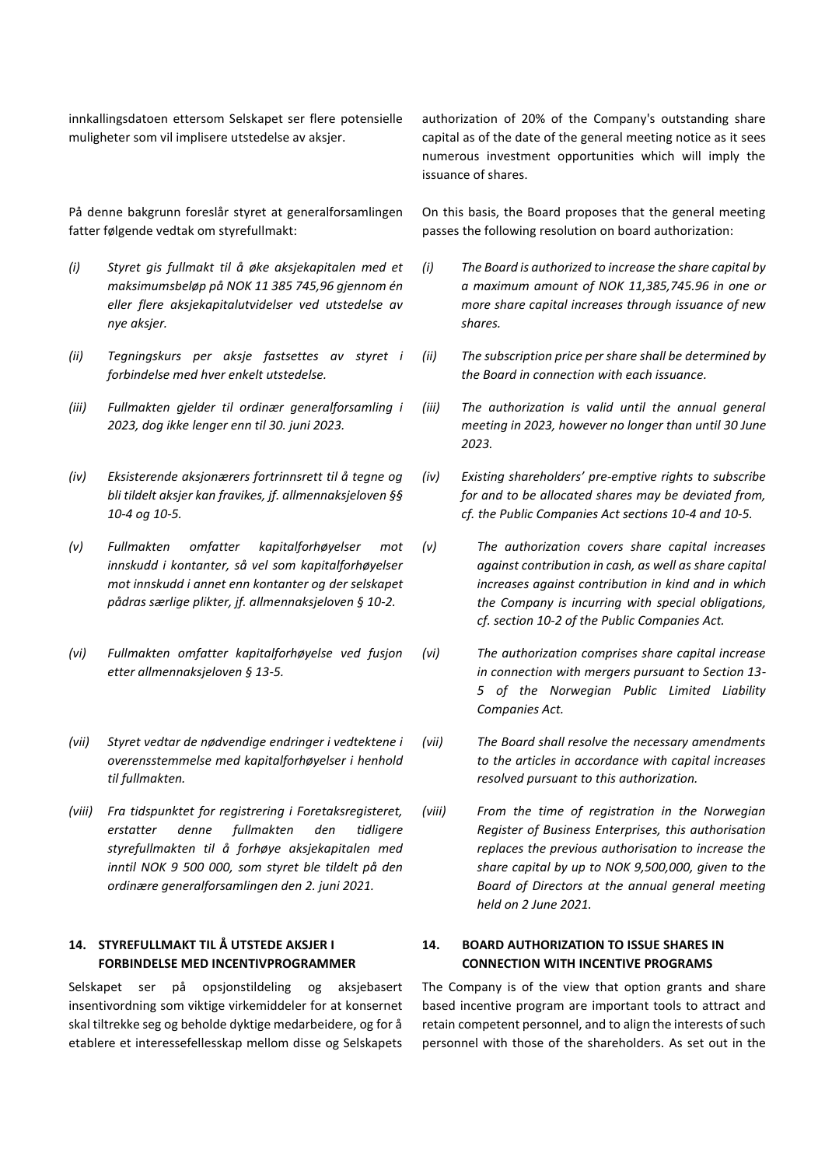innkallingsdatoen ettersom Selskapet ser flere potensielle muligheter som vil implisere utstedelse av aksjer.

På denne bakgrunn foreslår styret at generalforsamlingen fatter følgende vedtak om styrefullmakt:

- *(i) Styret gis fullmakt til å øke aksjekapitalen med et maksimumsbeløp på NOK 11 385 745,96 gjennom én eller flere aksjekapitalutvidelser ved utstedelse av nye aksjer.*
- *(ii) Tegningskurs per aksje fastsettes av styret i forbindelse med hver enkelt utstedelse.*
- *(iii) Fullmakten gjelder til ordinær generalforsamling i 2023, dog ikke lenger enn til 30. juni 2023.*
- *(iv) Eksisterende aksjonærers fortrinnsrett til å tegne og bli tildelt aksjer kan fravikes, jf. allmennaksjeloven §§ 10-4 og 10-5.*
- *(v) Fullmakten omfatter kapitalforhøyelser mot innskudd i kontanter, så vel som kapitalforhøyelser mot innskudd i annet enn kontanter og der selskapet pådras særlige plikter, jf. allmennaksjeloven § 10-2.*
- *(vi) Fullmakten omfatter kapitalforhøyelse ved fusjon etter allmennaksjeloven § 13-5.*
- *(vii) Styret vedtar de nødvendige endringer i vedtektene i overensstemmelse med kapitalforhøyelser i henhold til fullmakten.*
- *(viii) Fra tidspunktet for registrering i Foretaksregisteret, erstatter denne fullmakten den tidligere styrefullmakten til å forhøye aksjekapitalen med inntil NOK 9 500 000, som styret ble tildelt på den ordinære generalforsamlingen den 2. juni 2021.*

# **14. STYREFULLMAKT TIL Å UTSTEDE AKSJER I FORBINDELSE MED INCENTIVPROGRAMMER**

Selskapet ser på opsjonstildeling og aksjebasert insentivordning som viktige virkemiddeler for at konsernet skal tiltrekke seg og beholde dyktige medarbeidere, og for å etablere et interessefellesskap mellom disse og Selskapets

authorization of 20% of the Company's outstanding share capital as of the date of the general meeting notice as it sees numerous investment opportunities which will imply the issuance of shares.

On this basis, the Board proposes that the general meeting passes the following resolution on board authorization:

- *(i) The Board is authorized to increase the share capital by a maximum amount of NOK 11,385,745.96 in one or more share capital increases through issuance of new shares.*
- *(ii) The subscription price per share shall be determined by the Board in connection with each issuance.*
- *(iii) The authorization is valid until the annual general meeting in 2023, however no longer than until 30 June 2023.*
- *(iv) Existing shareholders' pre-emptive rights to subscribe for and to be allocated shares may be deviated from, cf. the Public Companies Act sections 10-4 and 10-5.*
- *(v) The authorization covers share capital increases against contribution in cash, as well as share capital increases against contribution in kind and in which the Company is incurring with special obligations, cf. section 10-2 of the Public Companies Act.*
- *(vi) The authorization comprises share capital increase in connection with mergers pursuant to Section 13- 5 of the Norwegian Public Limited Liability Companies Act.*
- *(vii) The Board shall resolve the necessary amendments to the articles in accordance with capital increases resolved pursuant to this authorization.*
- *(viii) From the time of registration in the Norwegian Register of Business Enterprises, this authorisation replaces the previous authorisation to increase the share capital by up to NOK 9,500,000, given to the Board of Directors at the annual general meeting held on 2 June 2021.*

# **14. BOARD AUTHORIZATION TO ISSUE SHARES IN CONNECTION WITH INCENTIVE PROGRAMS**

The Company is of the view that option grants and share based incentive program are important tools to attract and retain competent personnel, and to align the interests of such personnel with those of the shareholders. As set out in the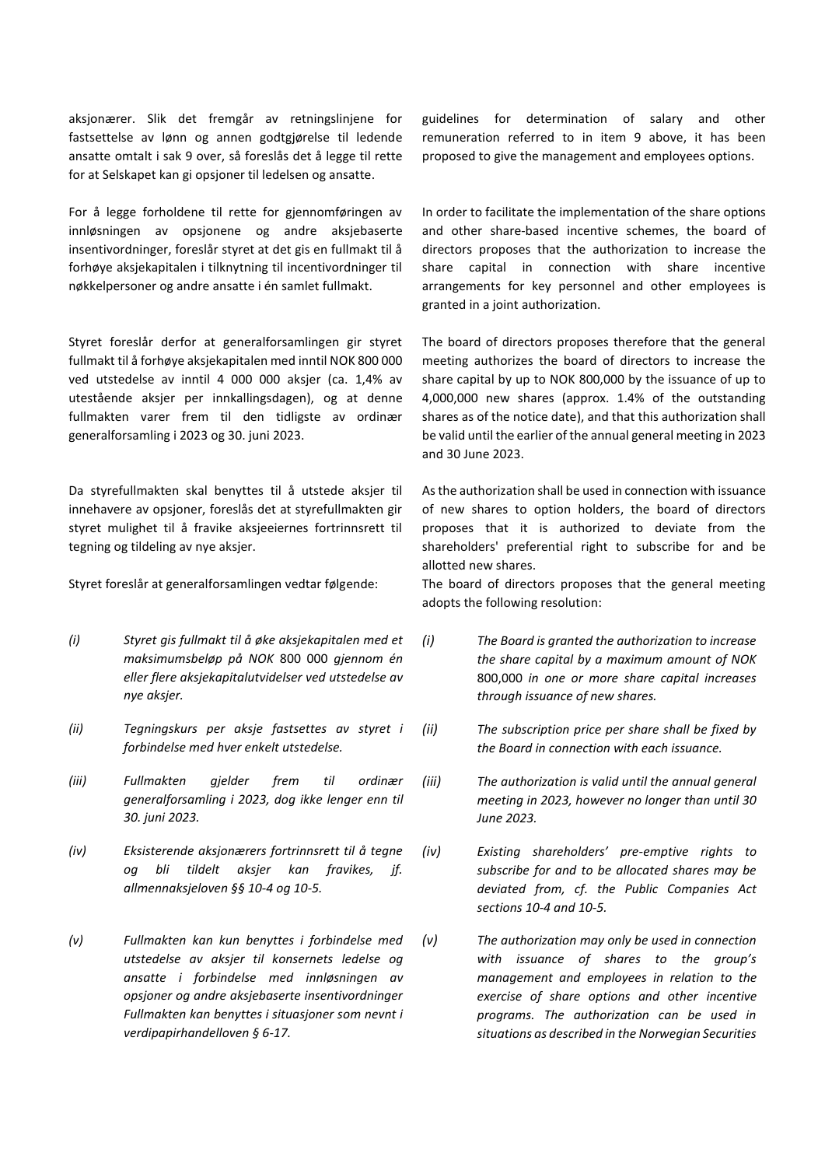aksjonærer. Slik det fremgår av retningslinjene for fastsettelse av lønn og annen godtgjørelse til ledende ansatte omtalt i sak 9 over, så foreslås det å legge til rette for at Selskapet kan gi opsjoner til ledelsen og ansatte.

For å legge forholdene til rette for gjennomføringen av innløsningen av opsjonene og andre aksjebaserte insentivordninger, foreslår styret at det gis en fullmakt til å forhøye aksjekapitalen i tilknytning til incentivordninger til nøkkelpersoner og andre ansatte i én samlet fullmakt.

Styret foreslår derfor at generalforsamlingen gir styret fullmakt til å forhøye aksjekapitalen med inntil NOK 800 000 ved utstedelse av inntil 4 000 000 aksjer (ca. 1,4% av utestående aksjer per innkallingsdagen), og at denne fullmakten varer frem til den tidligste av ordinær generalforsamling i 2023 og 30. juni 2023.

Da styrefullmakten skal benyttes til å utstede aksjer til innehavere av opsjoner, foreslås det at styrefullmakten gir styret mulighet til å fravike aksjeeiernes fortrinnsrett til tegning og tildeling av nye aksjer.

- *(i) Styret gis fullmakt til å øke aksjekapitalen med et maksimumsbeløp på NOK* 800 000 *gjennom én eller flere aksjekapitalutvidelser ved utstedelse av nye aksjer.*
- *(ii) Tegningskurs per aksje fastsettes av styret i forbindelse med hver enkelt utstedelse.*
- *(iii) Fullmakten gjelder frem til ordinær generalforsamling i 2023, dog ikke lenger enn til 30. juni 2023.*
- *(iv) Eksisterende aksjonærers fortrinnsrett til å tegne og bli tildelt aksjer kan fravikes, jf. allmennaksjeloven §§ 10-4 og 10-5.*
- *(v) Fullmakten kan kun benyttes i forbindelse med utstedelse av aksjer til konsernets ledelse og ansatte i forbindelse med innløsningen av opsjoner og andre aksjebaserte insentivordninger Fullmakten kan benyttes i situasjoner som nevnt i verdipapirhandelloven § 6-17.*

guidelines for determination of salary and other remuneration referred to in item 9 above, it has been proposed to give the management and employees options.

In order to facilitate the implementation of the share options and other share-based incentive schemes, the board of directors proposes that the authorization to increase the share capital in connection with share incentive arrangements for key personnel and other employees is granted in a joint authorization.

The board of directors proposes therefore that the general meeting authorizes the board of directors to increase the share capital by up to NOK 800,000 by the issuance of up to 4,000,000 new shares (approx. 1.4% of the outstanding shares as of the notice date), and that this authorization shall be valid until the earlier of the annual general meeting in 2023 and 30 June 2023.

As the authorization shall be used in connection with issuance of new shares to option holders, the board of directors proposes that it is authorized to deviate from the shareholders' preferential right to subscribe for and be allotted new shares.

Styret foreslår at generalforsamlingen vedtar følgende: The board of directors proposes that the general meeting adopts the following resolution:

- *(i) The Board is granted the authorization to increase the share capital by a maximum amount of NOK*  800,000 *in one or more share capital increases through issuance of new shares.*
- *(ii) The subscription price per share shall be fixed by the Board in connection with each issuance.*
- *(iii) The authorization is valid until the annual general meeting in 2023, however no longer than until 30 June 2023.*
- *(iv) Existing shareholders' pre-emptive rights to subscribe for and to be allocated shares may be deviated from, cf. the Public Companies Act sections 10-4 and 10-5.*
- *(v) The authorization may only be used in connection with issuance of shares to the group's management and employees in relation to the exercise of share options and other incentive programs. The authorization can be used in situations as described in the Norwegian Securities*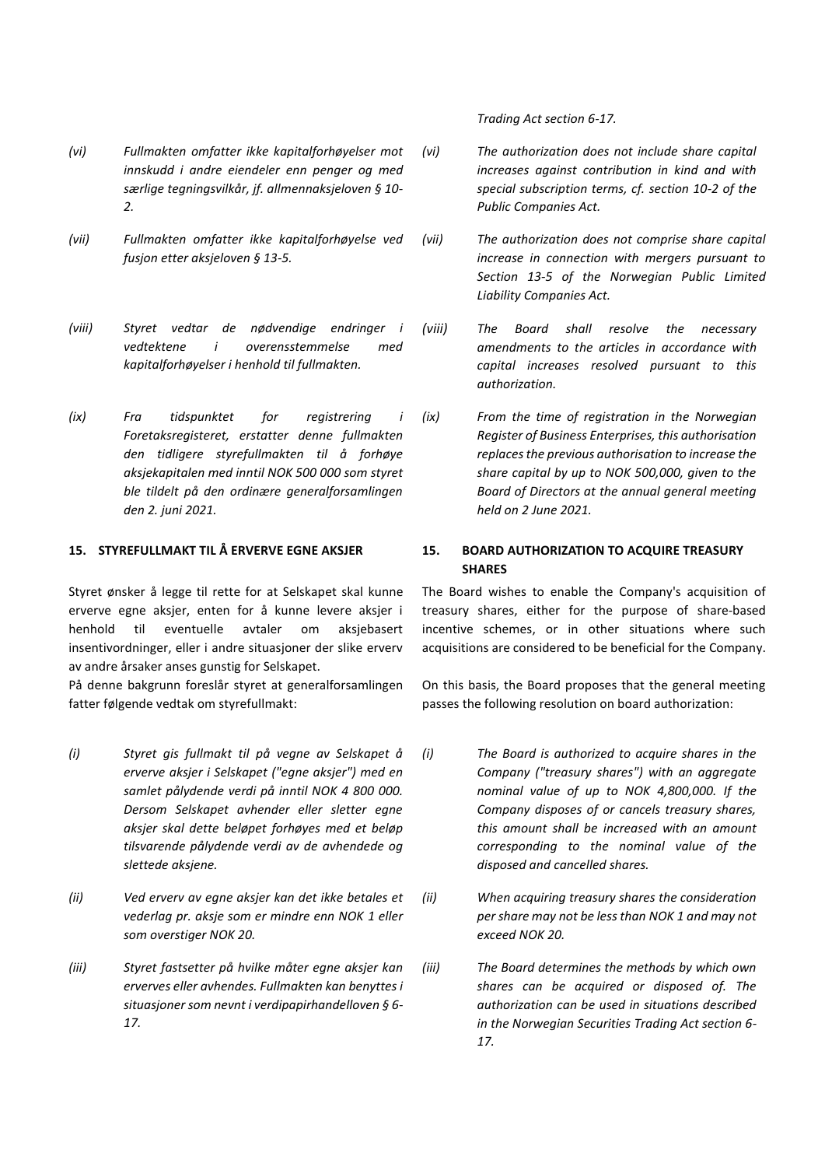*Trading Act section 6-17.*

- *(vi) Fullmakten omfatter ikke kapitalforhøyelser mot innskudd i andre eiendeler enn penger og med særlige tegningsvilkår, jf. allmennaksjeloven § 10- 2.*
- *(vii) Fullmakten omfatter ikke kapitalforhøyelse ved fusjon etter aksjeloven § 13-5.*
- *(viii) Styret vedtar de nødvendige endringer i vedtektene i overensstemmelse med kapitalforhøyelser i henhold til fullmakten.*
- *(ix) Fra tidspunktet for registrering i Foretaksregisteret, erstatter denne fullmakten den tidligere styrefullmakten til å forhøye aksjekapitalen med inntil NOK 500 000 som styret ble tildelt på den ordinære generalforsamlingen den 2. juni 2021.*

Styret ønsker å legge til rette for at Selskapet skal kunne erverve egne aksjer, enten for å kunne levere aksjer i henhold til eventuelle avtaler om aksjebasert insentivordninger, eller i andre situasjoner der slike erverv av andre årsaker anses gunstig for Selskapet.

På denne bakgrunn foreslår styret at generalforsamlingen fatter følgende vedtak om styrefullmakt:

- *(i) Styret gis fullmakt til på vegne av Selskapet å erverve aksjer i Selskapet ("egne aksjer") med en samlet pålydende verdi på inntil NOK 4 800 000. Dersom Selskapet avhender eller sletter egne aksjer skal dette beløpet forhøyes med et beløp tilsvarende pålydende verdi av de avhendede og slettede aksjene.*
- *(ii) Ved erverv av egne aksjer kan det ikke betales et vederlag pr. aksje som er mindre enn NOK 1 eller som overstiger NOK 20.*
- *(iii) Styret fastsetter på hvilke måter egne aksjer kan erverves eller avhendes. Fullmakten kan benyttes i situasjoner som nevnt i verdipapirhandelloven § 6- 17.*
- *(vi) The authorization does not include share capital increases against contribution in kind and with special subscription terms, cf. section 10-2 of the Public Companies Act.*
- *(vii) The authorization does not comprise share capital increase in connection with mergers pursuant to Section 13-5 of the Norwegian Public Limited Liability Companies Act.*
- *(viii) The Board shall resolve the necessary amendments to the articles in accordance with capital increases resolved pursuant to this authorization.*
- *(ix) From the time of registration in the Norwegian Register of Business Enterprises, this authorisation replaces the previous authorisation to increase the share capital by up to NOK 500,000, given to the Board of Directors at the annual general meeting held on 2 June 2021.*

# **15. STYREFULLMAKT TIL Å ERVERVE EGNE AKSJER 15. BOARD AUTHORIZATION TO ACQUIRE TREASURY SHARES**

The Board wishes to enable the Company's acquisition of treasury shares, either for the purpose of share-based incentive schemes, or in other situations where such acquisitions are considered to be beneficial for the Company.

On this basis, the Board proposes that the general meeting passes the following resolution on board authorization:

- *(i) The Board is authorized to acquire shares in the Company ("treasury shares") with an aggregate nominal value of up to NOK 4,800,000. If the Company disposes of or cancels treasury shares, this amount shall be increased with an amount corresponding to the nominal value of the disposed and cancelled shares.*
- *(ii) When acquiring treasury shares the consideration per share may not be less than NOK 1 and may not exceed NOK 20.*
- *(iii) The Board determines the methods by which own shares can be acquired or disposed of. The authorization can be used in situations described in the Norwegian Securities Trading Act section 6- 17.*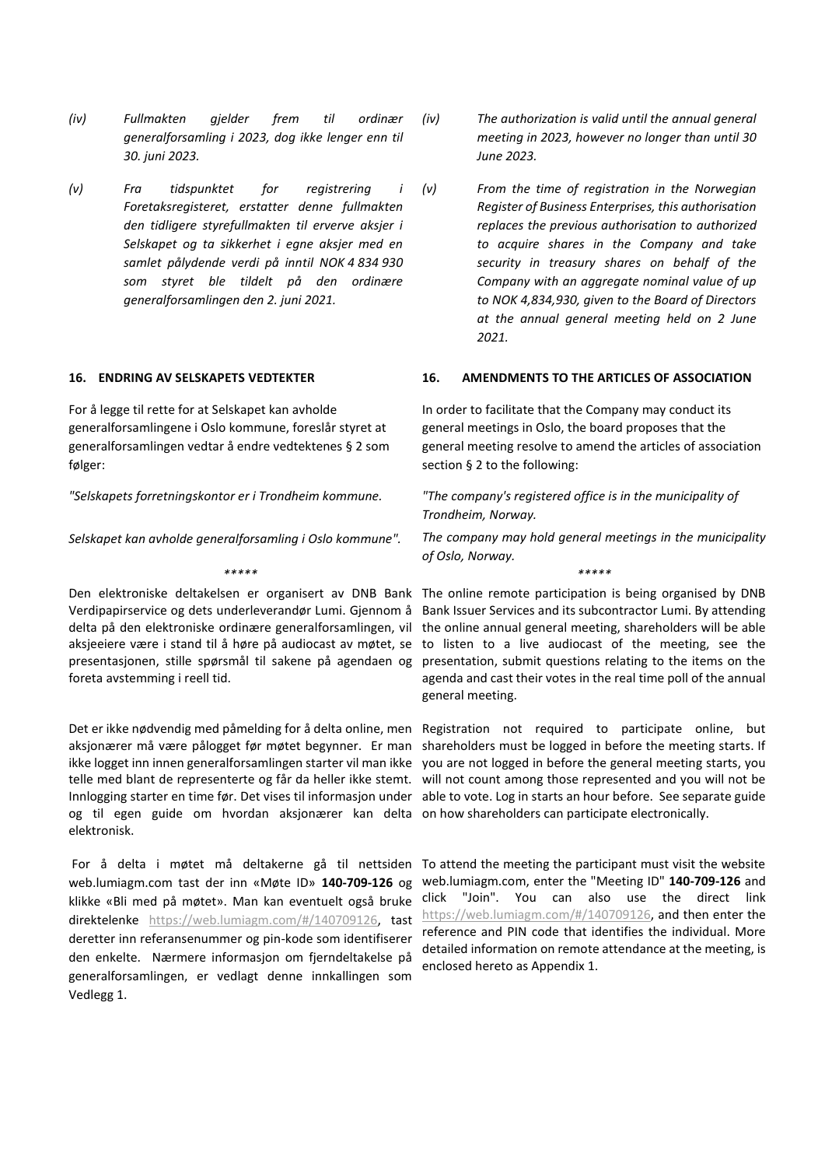- *(iv) Fullmakten gjelder frem til ordinær generalforsamling i 2023, dog ikke lenger enn til 30. juni 2023.*
- *(v) Fra tidspunktet for registrering i Foretaksregisteret, erstatter denne fullmakten den tidligere styrefullmakten til erverve aksjer i Selskapet og ta sikkerhet i egne aksjer med en samlet pålydende verdi på inntil NOK 4 834 930 som styret ble tildelt på den ordinære generalforsamlingen den 2. juni 2021.*

For å legge til rette for at Selskapet kan avholde generalforsamlingene i Oslo kommune, foreslår styret at generalforsamlingen vedtar å endre vedtektenes § 2 som følger:

*"Selskapets forretningskontor er i Trondheim kommune.* 

*Selskapet kan avholde generalforsamling i Oslo kommune".*

*\*\*\*\*\* \*\*\*\*\**

foreta avstemming i reell tid.

og til egen guide om hvordan aksjonærer kan delta on how shareholders can participate electronically. elektronisk.

web.lumiagm.com tast der inn «Møte ID» **140-709-126** og klikke «Bli med på møtet». Man kan eventuelt også bruke direktelenke [https://web.lumiagm.com/#/140709126,](https://web.lumiagm.com/#/140709126) tast deretter inn referansenummer og pin-kode som identifiserer den enkelte. Nærmere informasjon om fjerndeltakelse på generalforsamlingen, er vedlagt denne innkallingen som Vedlegg 1.

- *(iv) The authorization is valid until the annual general meeting in 2023, however no longer than until 30 June 2023.*
- *(v) From the time of registration in the Norwegian Register of Business Enterprises, this authorisation replaces the previous authorisation to authorized to acquire shares in the Company and take security in treasury shares on behalf of the Company with an aggregate nominal value of up to NOK 4,834,930, given to the Board of Directors at the annual general meeting held on 2 June 2021.*

### **16. ENDRING AV SELSKAPETS VEDTEKTER 16. AMENDMENTS TO THE ARTICLES OF ASSOCIATION**

In order to facilitate that the Company may conduct its general meetings in Oslo, the board proposes that the general meeting resolve to amend the articles of association section § 2 to the following:

*"The company's registered office is in the municipality of Trondheim, Norway.* 

*The company may hold general meetings in the municipality of Oslo, Norway.* 

Den elektroniske deltakelsen er organisert av DNB Bank The online remote participation is being organised by DNB Verdipapirservice og dets underleverandør Lumi. Gjennom å Bank Issuer Services and its subcontractor Lumi. By attending delta på den elektroniske ordinære generalforsamlingen, vil the online annual general meeting, shareholders will be able aksjeeiere være i stand til å høre på audiocast av møtet, se to listen to a live audiocast of the meeting, see the presentasjonen, stille spørsmål til sakene på agendaen og presentation, submit questions relating to the items on the agenda and cast their votes in the real time poll of the annual general meeting.

Det er ikke nødvendig med påmelding for å delta online, men Registration not required to participate online, but aksjonærer må være pålogget før møtet begynner. Er man shareholders must be logged in before the meeting starts. If ikke logget inn innen generalforsamlingen starter vil man ikke you are not logged in before the general meeting starts, you telle med blant de representerte og får da heller ikke stemt. Will not count among those represented and you will not be Innlogging starter en time før. Det vises til informasjon under able to vote. Log in starts an hour before. See separate guide

For å delta i møtet må deltakerne gå til nettsiden To attend the meeting the participant must visit the website web.lumiagm.com, enter the "Meeting ID" **140-709-126** and click "Join". You can also use the direct link [https://web.lumiagm.com/#/140709126,](https://web.lumiagm.com/#/140709126) and then enter the reference and PIN code that identifies the individual. More detailed information on remote attendance at the meeting, is enclosed hereto as Appendix 1.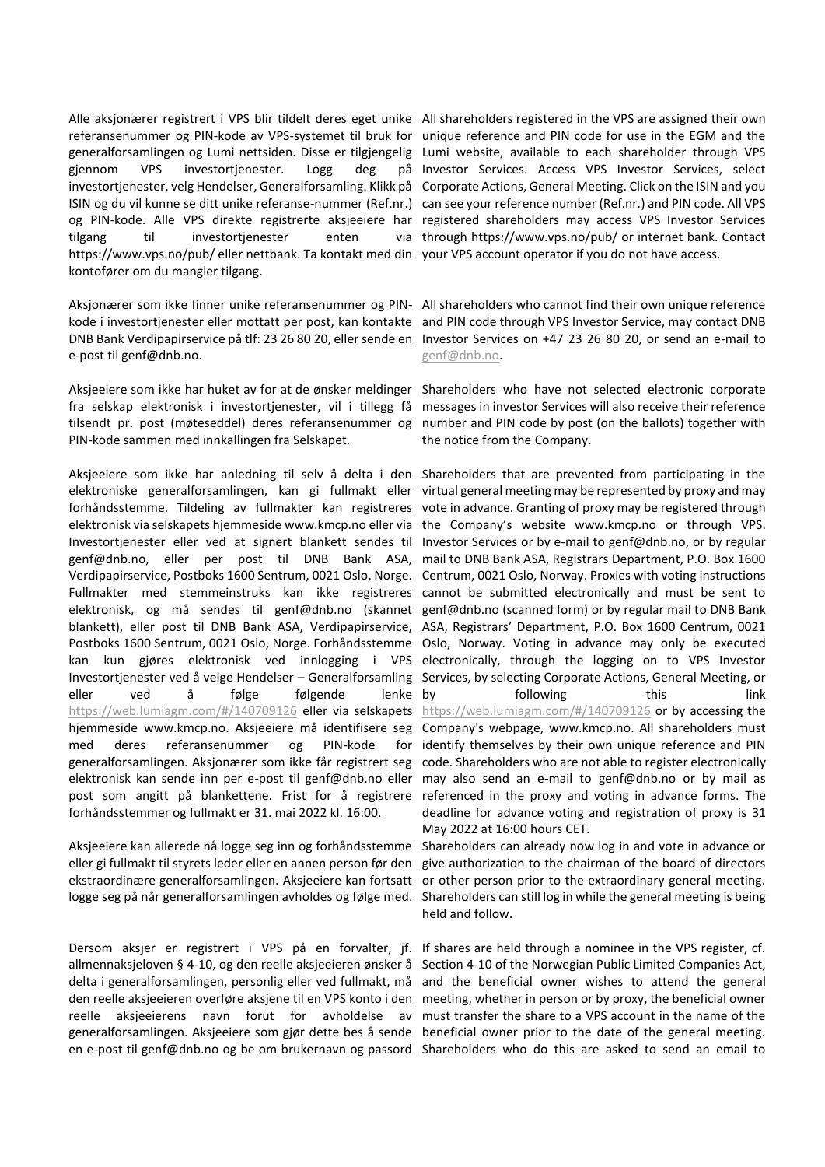Alle aksjonærer registrert i VPS blir tildelt deres eget unike All shareholders registered in the VPS are assigned their own referansenummer og PIN-kode av VPS-systemet til bruk for unique reference and PIN code for use in the EGM and the generalforsamlingen og Lumi nettsiden. Disse er tilgjengelig Lumi website, available to each shareholder through VPS gjennom VPS investortjenester. Logg deg investortjenester, velg Hendelser, Generalforsamling. Klikk på Corporate Actions, General Meeting. Click on the ISIN and you ISIN og du vil kunne se ditt unike referanse-nummer (Ref.nr.) can see your reference number (Ref.nr.) and PIN code. All VPS og PIN-kode. Alle VPS direkte registrerte aksjeeiere har registered shareholders may access VPS Investor Services tilgang til investortienester enten https://www.vps.no/pub/ eller nettbank. Ta kontakt med din your VPS account operator if you do not have access. kontofører om du mangler tilgang.

Aksjonærer som ikke finner unike referansenummer og PIN-All shareholders who cannot find their own unique reference kode i investortjenester eller mottatt per post, kan kontakte and PIN code through VPS Investor Service, may contact DNB DNB Bank Verdipapirservice på tlf: 23 26 80 20, eller sende en Investor Services on +47 23 26 80 20, or send an e-mail to e-post til genf@dnb.no.

Aksjeeiere som ikke har huket av for at de ønsker meldinger Shareholders who have not selected electronic corporate fra selskap elektronisk i investortjenester, vil i tillegg få messages in investor Services will also receive their reference tilsendt pr. post (møteseddel) deres referansenummer og number and PIN code by post (on the ballots) together with PIN-kode sammen med innkallingen fra Selskapet.

elektroniske generalforsamlingen, kan gi fullmakt eller virtualgeneralmeetingmayberepresentedbyproxyandmay forhåndsstemme. Tildeling av fullmakter kan registreres vote in advance. Granting of proxy may be registered through elektronisk via selskapets hjemmeside www.kmcp.no eller via the Company's website www.kmcp.no or through VPS. Investortjenester eller ved at signert blankett sendes til Investor Services orbye-mailtogenf@dnb.no, orbyregular genf@dnb.no, eller per post til DNB Bank ASA, mail to DNB Bank ASA, Registrars Department, P.O. Box 1600 Verdipapirservice, Postboks 1600 Sentrum, 0021 Oslo, Norge. Centrum, 0021 Oslo, Norway. Proxies with voting instructions Fullmakter med stemmeinstruks kan ikke registreres cannot be submitted electronically and must be sent to elektronisk, og må sendes til genf@dnb.no (skannet genf@dnb.no (scanned form) or by regular mail to DNB Bank blankett), eller post til DNB Bank ASA, Verdipapirservice, ASA, Registrars' Department, P.O. Box 1600 Centrum, 0021 Postboks 1600 Sentrum, 0021 Oslo, Norge. Forhåndsstemme Oslo, Norway. Voting in advance may only be executed kan kun gjøres elektronisk ved innlogging i VPS electronically, through the logging on to VPS Investor Investortjenester ved å velge Hendelser – Generalforsamling Services, by selecting Corporate Actions, General Meeting, or eller ved å følge følgende lenke-by <https://web.lumiagm.com/#/140709126> eller via selskapets https://web.lumiagm.com/#/140709126 or by accessing the hjemmeside www.kmcp.no. Aksjeeiere må identifisere seg Company's webpage, www.kmcp.no. All shareholders must med deres referansenummer og PIN-kode generalforsamlingen. Aksjonærer som ikke får registrert seg code. Shareholders who are not able to register electronically elektronisk kan sende inn per e-post til [genf@dnb.no](mailto:genf@dnb.no) eller may also send an e-mail to [genf@dnb.no](mailto:genf@dnb.no) or by mail as post som angitt på blankettene. Frist for å registrere referenced in the proxy and voting in advance forms. The forhåndsstemmer og fullmakt er 31. mai 2022 kl. 16:00.

Aksjeeiere kan allerede nå logge seg inn og forhåndsstemme Shareholders can already now log in and vote in advance or eller gi fullmakt til styrets leder eller en annen person før den give authorization to the chairman of the board of directors ekstraordinære generalforsamlingen. Aksjeeiere kan fortsatt or other person prior to the extraordinary general meeting.

allmennaksjeloven § 4-10, og den reelle aksjeeieren ønsker å Section 4-10 of the Norwegian Public Limited Companies Act, delta i generalforsamlingen, personlig eller ved fullmakt, må and the beneficial owner wishes to attend the general den reelle aksjeeieren overføre aksjene til en VPS konto i den meeting, whether in person or by proxy, the beneficial owner reelle aksjeeierens navn forut for avholdelse av must-transfer-the-share-to-a-VPS-account-in-the-name-of-thegeneralforsamlingen. Aksjeeiere som gjør dette bes å sende beneficial owner prior to the date of the general meeting. en e-post til genf@dnb.no og be om brukernavn og passord Shareholders who do this are asked to send an email to

på Investor Services. Access VPS Investor Services, select via through https://www.vps.no/pub/ or internet bank. Contact

[genf@dnb.no.](mailto:genf@dnb.no)

the notice from the Company.

Aksjeeiere som ikke har anledning til selv å delta i den Shareholders that are prevented from participating in the following this link for identify themselves by their own unique reference and PIN deadline for advance voting and registration of proxy is 31 May 2022 at 16:00 hours CET.

logge seg på når generalforsamlingen avholdes og følge med. Shareholders can still log in while the general meeting is being held and follow.

Dersom aksjer er registrert i VPS på en forvalter, jf. If shares are held through a nominee in the VPS register, cf.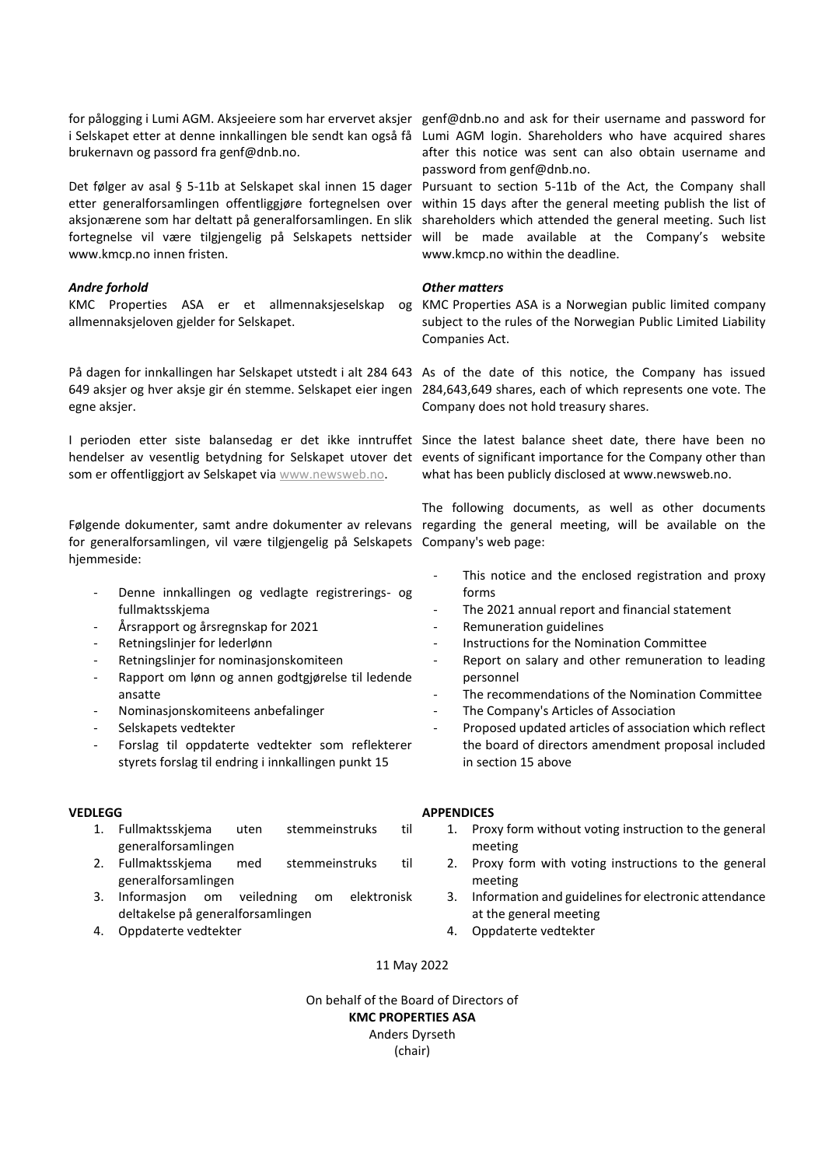for pålogging i Lumi AGM. Aksjeeiere som har ervervet aksjer genf@dnb.no and ask for their username and password for i Selskapet etter at denne innkallingen ble sendt kan også få Lumi AGM login. Shareholders who have acquired shares brukernavn og passord fra genf@dnb.no.

www.kmcp.no innen fristen.

### *Andre forhold*

allmennaksjeloven gjelder for Selskapet.

På dagen for innkallingen har Selskapet utstedt i alt 284 643 As of the date of this notice, the Company has issued egne aksjer.

som er offentliggjort av Selskapet via [www.newsweb.no.](http://www.newsweb.no/)

Følgende dokumenter, samt andre dokumenter av relevans regarding the general meeting, will be available on the for generalforsamlingen, vil være tilgjengelig på Selskapets Company's web page: hjemmeside:

- Denne innkallingen og vedlagte registrerings- og fullmaktsskjema
- Årsrapport og årsregnskap for 2021
- Retningslinjer for lederlønn
- Retningslinjer for nominasjonskomiteen
- Rapport om lønn og annen godtgjørelse til ledende ansatte
- Nominasjonskomiteens anbefalinger
- Selskapets vedtekter
- Forslag til oppdaterte vedtekter som reflekterer styrets forslag til endring i innkallingen punkt 15

# **VEDLEGG**

- 1. Fullmaktsskjema uten stemmeinstruks til generalforsamlingen
- 2. Fullmaktsskjema med stemmeinstruks til generalforsamlingen
- 3. Informasjon om veiledning om elektronisk deltakelse på generalforsamlingen
- 4. Oppdaterte vedtekter

after this notice was sent can also obtain username and password from genf@dnb.no.

Det følger av asal § 5-11b at Selskapet skal innen 15 dager Pursuant to section 5-11b of the Act, the Company shall etter generalforsamlingen offentliggjøre fortegnelsen over within 15 days after the general meeting publish the list of aksjonærene som har deltatt på generalforsamlingen. En slik shareholders which attended the general meeting. Such list fortegnelse vil være tilgjengelig på Selskapets nettsider will be made available at the Company's website www.kmcp.no within the deadline.

### *Other matters*

KMC Properties ASA er et allmennaksjeselskap og KMC Properties ASA is a Norwegian public limited company subject to the rules of the Norwegian Public Limited Liability Companies Act.

649 aksjer og hver aksje gir én stemme. Selskapet eier ingen 284,643,649 shares, each of which represents one vote. The Company does not hold treasury shares.

I perioden etter siste balansedag er det ikke inntruffet Since the latest balance sheet date, there have been no hendelser av vesentlig betydning for Selskapet utover det events of significant importance for the Company other than what has been publicly disclosed at www.newsweb.no.

The following documents, as well as other documents

- This notice and the enclosed registration and proxy forms
- The 2021 annual report and financial statement
- Remuneration guidelines
- Instructions for the Nomination Committee
- Report on salary and other remuneration to leading personnel
- The recommendations of the Nomination Committee
- The Company's Articles of Association
- Proposed updated articles of association which reflect the board of directors amendment proposal included in section 15 above

# **APPENDICES**

- 1. Proxy form without voting instruction to the general meeting
- 2. Proxy form with voting instructions to the general meeting
- 3. Information and guidelines for electronic attendance at the general meeting
- 4. Oppdaterte vedtekter

11 May 2022

On behalf of the Board of Directors of **KMC PROPERTIES ASA** Anders Dyrseth (chair)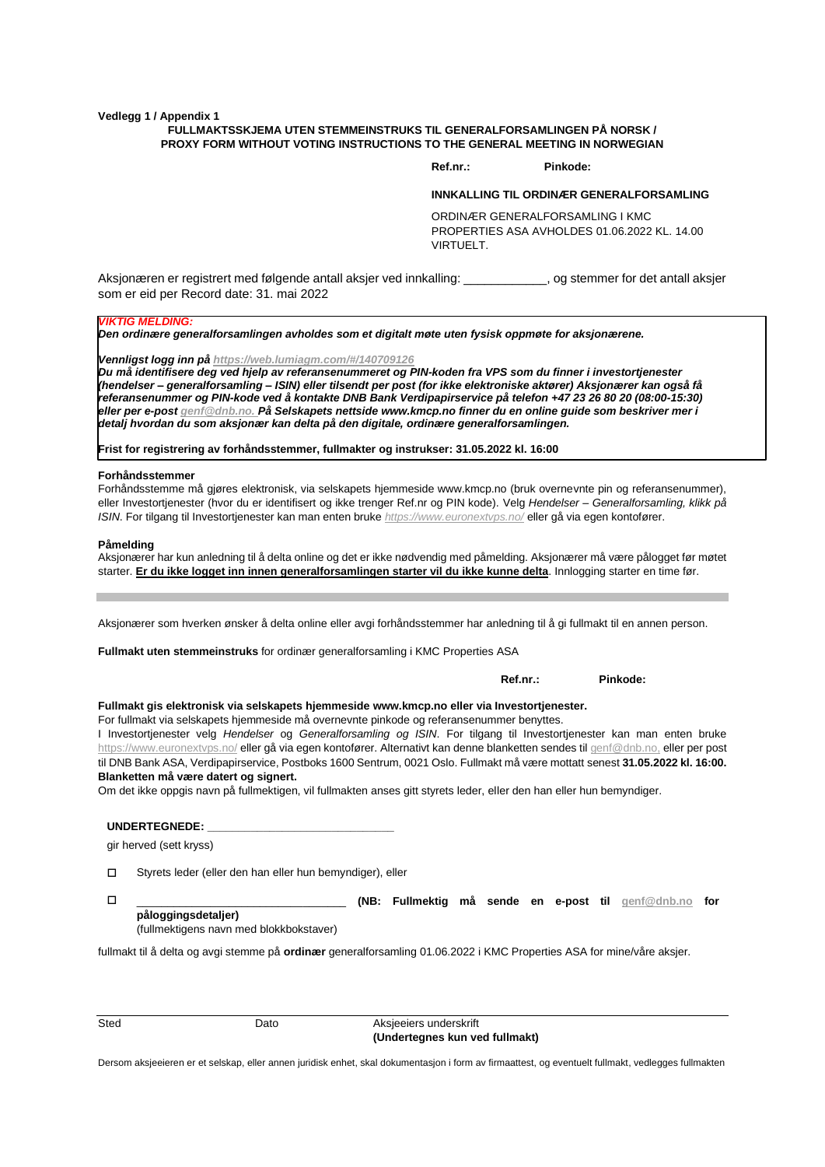**Vedlegg 1 / Appendix 1**

#### **FULLMAKTSSKJEMA UTEN STEMMEINSTRUKS TIL GENERALFORSAMLINGEN PÅ NORSK / PROXY FORM WITHOUT VOTING INSTRUCTIONS TO THE GENERAL MEETING IN NORWEGIAN**

**Ref.nr.: Pinkode:** 

#### **INNKALLING TIL ORDINÆR GENERALFORSAMLING**

ORDINÆR GENERALFORSAMLING I KMC PROPERTIES ASA AVHOLDES 01.06.2022 KL. 14.00 VIRTUELT.

Aksjonæren er registrert med følgende antall aksjer ved innkalling: \_\_\_\_\_\_\_\_\_\_\_\_, og stemmer for det antall aksjer som er eid per Record date: 31. mai 2022

#### *VIKTIG MELDING:*

*Den ordinære generalforsamlingen avholdes som et digitalt møte uten fysisk oppmøte for aksjonærene.*

*Vennligst logg inn på [https://web.lumiagm.com/#/140709126](https://web.lumiagm.com/#/140709126 )* 

*Du må identifisere deg ved hjelp av referansenummeret og PIN-koden fra VPS som du finner i investortjenester (hendelser – generalforsamling – ISIN) eller tilsendt per post (for ikke elektroniske aktører) Aksjonærer kan også få referansenummer og PIN-kode ved å kontakte DNB Bank Verdipapirservice på telefon +47 23 26 80 20 (08:00-15:30) eller per e-pos[t genf@dnb.no.](mailto:genf@dnb.no) På Selskapets nettside www.kmcp.no finner du en online guide som beskriver mer i detalj hvordan du som aksjonær kan delta på den digitale, ordinære generalforsamlingen.*

**Frist for registrering av forhåndsstemmer, fullmakter og instrukser: 31.05.2022 kl. 16:00**

#### **Forhåndsstemmer**

Forhåndsstemme må gjøres elektronisk, via selskapets hjemmeside www.kmcp.no (bruk overnevnte pin og referansenummer), eller Investortjenester (hvor du er identifisert og ikke trenger Ref.nr og PIN kode). Velg *Hendelser* – *Generalforsamling, klikk på ISIN*. For tilgang til Investortjenester kan man enten bruke *<https://www.euronextvps.no/>* eller gå via egen kontofører.

#### **Påmelding**

Aksjonærer har kun anledning til å delta online og det er ikke nødvendig med påmelding. Aksjonærer må være pålogget før møtet starter. **Er du ikke logget inn innen generalforsamlingen starter vil du ikke kunne delta**. Innlogging starter en time før.

Aksjonærer som hverken ønsker å delta online eller avgi forhåndsstemmer har anledning til å gi fullmakt til en annen person.

**Fullmakt uten stemmeinstruks** for ordinær generalforsamling i KMC Properties ASA

**Ref.nr.: Pinkode:** 

**Fullmakt gis elektronisk via selskapets hjemmeside www.kmcp.no eller via Investortjenester.**

For fullmakt via selskapets hjemmeside må overnevnte pinkode og referansenummer benyttes.

I Investortjenester velg *Hendelser* og *Generalforsamling og ISIN*. For tilgang til Investortjenester kan man enten bruke <https://www.euronextvps.no/> eller gå via egen kontofører. Alternativt kan denne blanketten sendes ti[l genf@dnb.no,](mailto:genf@dnb.no) eller per post til DNB Bank ASA, Verdipapirservice, Postboks 1600 Sentrum, 0021 Oslo. Fullmakt må være mottatt senest **31.05.2022 kl. 16:00. Blanketten må være datert og signert.**

Om det ikke oppgis navn på fullmektigen, vil fullmakten anses gitt styrets leder, eller den han eller hun bemyndiger.

**UNDERTEGNEDE: \_\_\_\_\_\_\_\_\_\_\_\_\_\_\_\_\_\_\_\_\_\_\_\_\_\_\_\_\_\_**

gir herved (sett kryss)

Styrets leder (eller den han eller hun bemyndiger), eller

 \_\_\_\_\_\_\_\_\_\_\_\_\_\_\_\_\_\_\_\_\_\_\_\_\_\_\_\_\_\_\_\_\_\_ **(NB: Fullmektig må sende en e-post til [genf@dnb.no](mailto:genf@dnb.no) for påloggingsdetaljer)** (fullmektigens navn med blokkbokstaver)

fullmakt til å delta og avgi stemme på **ordinær** generalforsamling 01.06.2022 i KMC Properties ASA for mine/våre aksjer.

| ٦<br>i<br>×<br><br>۹<br>×<br>۰.<br>× |
|--------------------------------------|
|--------------------------------------|

Dato Aksjeeiers underskrift **(Undertegnes kun ved fullmakt)**

Dersom aksjeeieren er et selskap, eller annen juridisk enhet, skal dokumentasjon i form av firmaattest, og eventuelt fullmakt, vedlegges fullmakten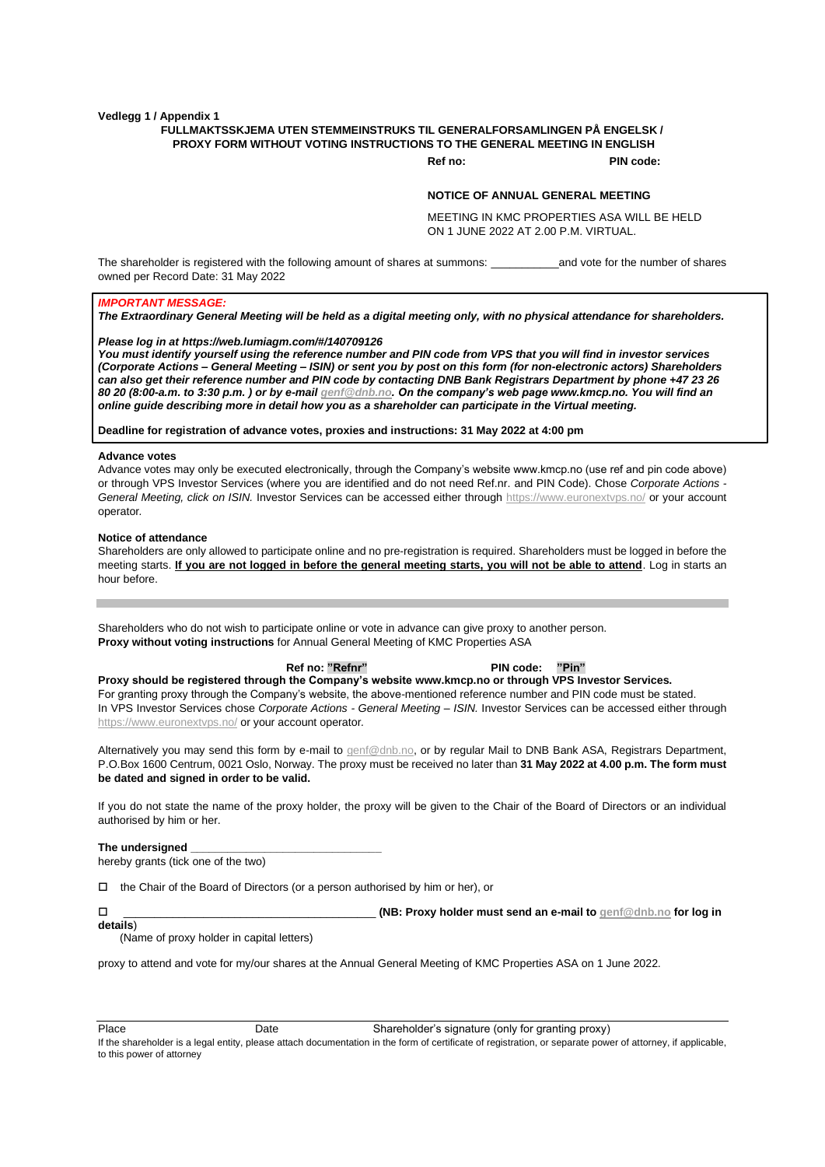**Vedlegg 1 / Appendix 1**

### **FULLMAKTSSKJEMA UTEN STEMMEINSTRUKS TIL GENERALFORSAMLINGEN PÅ ENGELSK / PROXY FORM WITHOUT VOTING INSTRUCTIONS TO THE GENERAL MEETING IN ENGLISH**

**Ref no: PIN code:**

#### **NOTICE OF ANNUAL GENERAL MEETING**

MEETING IN KMC PROPERTIES ASA WILL BE HELD ON 1 JUNE 2022 AT 2.00 P.M. VIRTUAL.

The shareholder is registered with the following amount of shares at summons: \_\_\_\_\_\_\_\_\_\_\_\_\_\_\_and vote for the number of shares owned per Record Date: 31 May 2022

#### *IMPORTANT MESSAGE:*

*The Extraordinary General Meeting will be held as a digital meeting only, with no physical attendance for shareholders.*

#### *Please log in a[t https://web.lumiagm.com/#/140709126](https://web.lumiagm.com/#/140709126)*

*You must identify yourself using the reference number and PIN code from VPS that you will find in investor services (Corporate Actions – General Meeting – ISIN) or sent you by post on this form (for non-electronic actors) Shareholders can also get their reference number and PIN code by contacting DNB Bank Registrars Department by phone +47 23 26 80 20 (8:00-a.m. to 3:30 p.m. ) or by e-mai[l genf@dnb.no.](mailto:genf@dnb.no) On the company's web page www.kmcp.no. You will find an online guide describing more in detail how you as a shareholder can participate in the Virtual meeting.* 

**Deadline for registration of advance votes, proxies and instructions: 31 May 2022 at 4:00 pm**

#### **Advance votes**

Advance votes may only be executed electronically, through the Company's website www.kmcp.no (use ref and pin code above) or through VPS Investor Services (where you are identified and do not need Ref.nr. and PIN Code). Chose *Corporate Actions - General Meeting, click on ISIN.* Investor Services can be accessed either through<https://www.euronextvps.no/> or your account operator*.*

#### **Notice of attendance**

Shareholders are only allowed to participate online and no pre-registration is required. Shareholders must be logged in before the meeting starts. **If you are not logged in before the general meeting starts, you will not be able to attend**. Log in starts an hour before.

Shareholders who do not wish to participate online or vote in advance can give proxy to another person. **Proxy without voting instructions** for Annual General Meeting of KMC Properties ASA

 **Ref no: "Refnr" PIN code: "Pin"**

**Proxy should be registered through the Company's website www.kmcp.no or through VPS Investor Services.** For granting proxy through the Company's website, the above-mentioned reference number and PIN code must be stated. In VPS Investor Services chose *Corporate Actions - General Meeting – ISIN.* Investor Services can be accessed either through <https://www.euronextvps.no/> or your account operator*.*

Alternatively you may send this form by e-mail to **genf@dnb.no**, or by regular Mail to DNB Bank ASA, Registrars Department, P.O.Box 1600 Centrum, 0021 Oslo, Norway. The proxy must be received no later than **31 May 2022 at 4.00 p.m. The form must be dated and signed in order to be valid.**

If you do not state the name of the proxy holder, the proxy will be given to the Chair of the Board of Directors or an individual authorised by him or her.

#### The undersianed

**details**)

hereby grants (tick one of the two)

the Chair of the Board of Directors (or a person authorised by him or her), or

\_\_\_\_\_\_\_\_\_\_\_\_\_\_\_\_\_\_\_\_\_\_\_\_\_\_\_\_\_\_\_\_\_\_\_\_\_\_\_\_\_ **(NB: Proxy holder must send an e-mail to [genf@dnb.no](mailto:genf@dnb.no) for log in** 

(Name of proxy holder in capital letters)

proxy to attend and vote for my/our shares at the Annual General Meeting of KMC Properties ASA on 1 June 2022.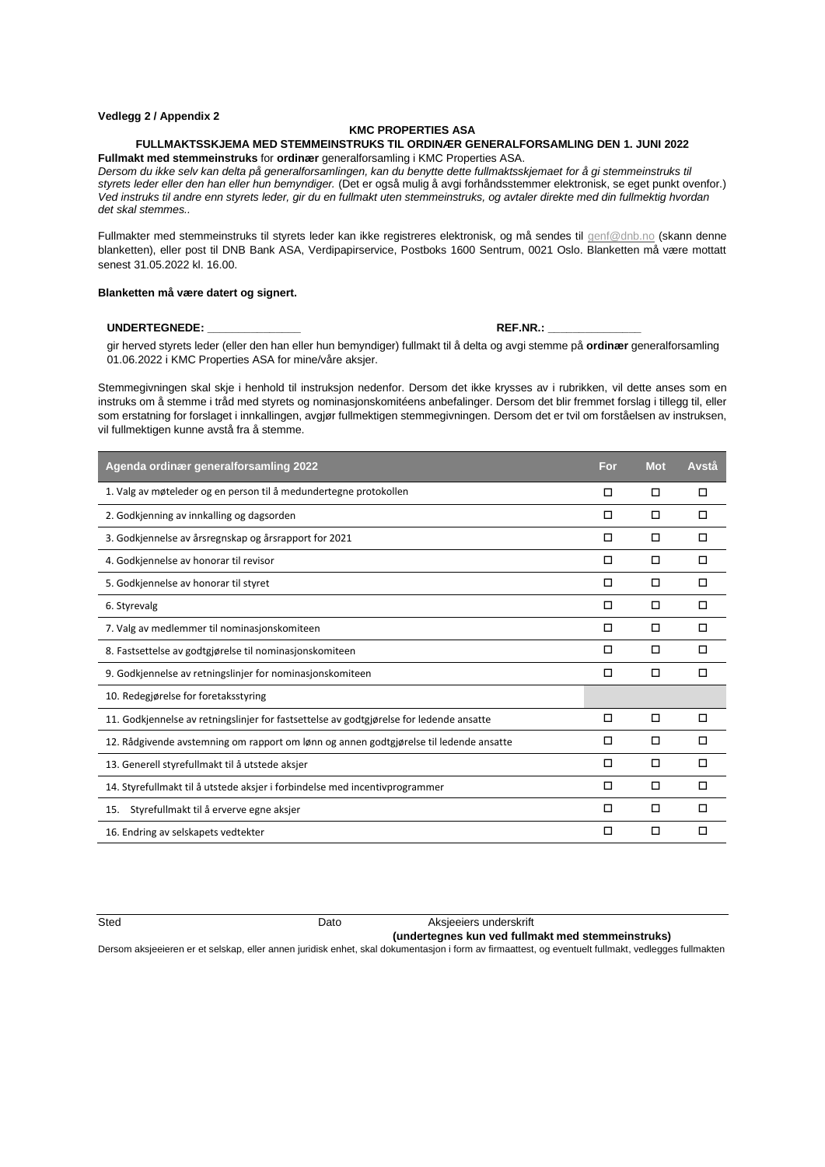#### **Vedlegg 2 / Appendix 2**

#### **KMC PROPERTIES ASA**

#### **FULLMAKTSSKJEMA MED STEMMEINSTRUKS TIL ORDINÆR GENERALFORSAMLING DEN 1. JUNI 2022 Fullmakt med stemmeinstruks** for **ordinær** generalforsamling i KMC Properties ASA.

*Dersom du ikke selv kan delta på generalforsamlingen, kan du benytte dette fullmaktsskjemaet for å gi stemmeinstruks til styrets leder eller den han eller hun bemyndiger.* (Det er også mulig å avgi forhåndsstemmer elektronisk, se eget punkt ovenfor.) *Ved instruks til andre enn styrets leder, gir du en fullmakt uten stemmeinstruks, og avtaler direkte med din fullmektig hvordan det skal stemmes..*

Fullmakter med stemmeinstruks til styrets leder kan ikke registreres elektronisk, og må sendes til [genf@dnb.no](mailto:genf@dnb.no) (skann denne blanketten), eller post til DNB Bank ASA, Verdipapirservice, Postboks 1600 Sentrum, 0021 Oslo. Blanketten må være mottatt senest 31.05.2022 kl. 16.00.

#### **Blanketten må være datert og signert.**

#### UNDERTEGNEDE: **WE SEE A REF. WE SEE A REF. WE**

gir herved styrets leder (eller den han eller hun bemyndiger) fullmakt til å delta og avgi stemme på **ordinær** generalforsamling 01.06.2022 i KMC Properties ASA for mine/våre aksjer.

Stemmegivningen skal skje i henhold til instruksjon nedenfor. Dersom det ikke krysses av i rubrikken, vil dette anses som en instruks om å stemme i tråd med styrets og nominasjonskomitéens anbefalinger. Dersom det blir fremmet forslag i tillegg til, eller som erstatning for forslaget i innkallingen, avgjør fullmektigen stemmegivningen. Dersom det er tvil om forståelsen av instruksen, vil fullmektigen kunne avstå fra å stemme.

| Agenda ordinær generalforsamling 2022                                                   | For | <b>Mot</b> | Avstå |
|-----------------------------------------------------------------------------------------|-----|------------|-------|
| 1. Valg av møteleder og en person til å medundertegne protokollen                       | □   | □          | п     |
| 2. Godkjenning av innkalling og dagsorden                                               | □   | □          | п     |
| 3. Godkjennelse av årsregnskap og årsrapport for 2021                                   | П   | □          | п     |
| 4. Godkjennelse av honorar til revisor                                                  | □   | □          | п     |
| 5. Godkjennelse av honorar til styret                                                   | □   | □          | п     |
| 6. Styrevalg                                                                            | □   | □          | п     |
| 7. Valg av medlemmer til nominasjonskomiteen                                            | П   | □          | п     |
| 8. Fastsettelse av godtgjørelse til nominasjonskomiteen                                 | □   | □          | п     |
| 9. Godkjennelse av retningslinjer for nominasjonskomiteen                               | □   | □          | п     |
| 10. Redegiørelse for foretaksstyring                                                    |     |            |       |
| 11. Godkjennelse av retningslinjer for fastsettelse av godtgjørelse for ledende ansatte | □   | □          | п     |
| 12. Rådgivende avstemning om rapport om lønn og annen godtgjørelse til ledende ansatte  | □   | □          | п     |
| 13. Generell styrefullmakt til å utstede aksjer                                         | П   | п          | п     |
| 14. Styrefullmakt til å utstede aksjer i forbindelse med incentivprogrammer             | П   | п          | п     |
| Styrefullmakt til å erverve egne aksjer<br>15.                                          | п   | □          | п     |
| 16. Endring av selskapets vedtekter                                                     | □   | □          | □     |

Sted **Dato** Dato **Aksjeeiers underskrift** 

#### **(undertegnes kun ved fullmakt med stemmeinstruks)**

Dersom aksjeeieren er et selskap, eller annen juridisk enhet, skal dokumentasjon i form av firmaattest, og eventuelt fullmakt, vedlegges fullmakten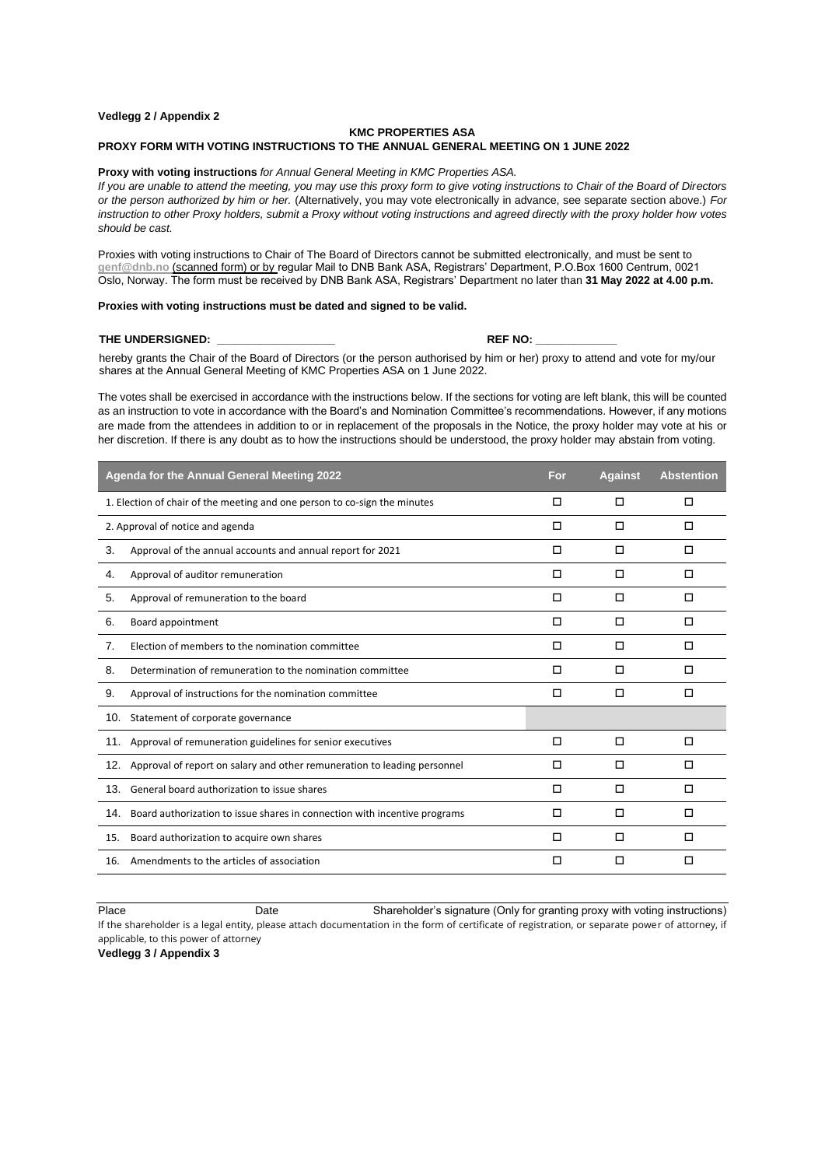#### **Vedlegg 2 / Appendix 2**

#### **KMC PROPERTIES ASA**

#### **PROXY FORM WITH VOTING INSTRUCTIONS TO THE ANNUAL GENERAL MEETING ON 1 JUNE 2022**

#### **Proxy with voting instructions** *for Annual General Meeting in KMC Properties ASA.*

*If you are unable to attend the meeting, you may use this proxy form to give voting instructions to Chair of the Board of Directors or the person authorized by him or her.* (Alternatively, you may vote electronically in advance, see separate section above.) *For instruction to other Proxy holders, submit a Proxy without voting instructions and agreed directly with the proxy holder how votes should be cast.*

Proxies with voting instructions to Chair of The Board of Directors cannot be submitted electronically, and must be sent to **[genf@dnb.no](mailto:genf@dnb.no)** (scanned form) or by regular Mail to DNB Bank ASA, Registrars' Department, P.O.Box 1600 Centrum, 0021 Oslo, Norway. The form must be received by DNB Bank ASA, Registrars' Department no later than **31 May 2022 at 4.00 p.m.**

#### **Proxies with voting instructions must be dated and signed to be valid.**

#### **THE UNDERSIGNED: \_\_\_\_\_\_\_\_\_\_\_\_\_\_\_\_\_\_\_ REF NO: \_\_\_\_\_\_\_\_\_\_\_\_\_**

hereby grants the Chair of the Board of Directors (or the person authorised by him or her) proxy to attend and vote for my/our shares at the Annual General Meeting of KMC Properties ASA on 1 June 2022.

The votes shall be exercised in accordance with the instructions below. If the sections for voting are left blank, this will be counted as an instruction to vote in accordance with the Board's and Nomination Committee's recommendations. However, if any motions are made from the attendees in addition to or in replacement of the proposals in the Notice, the proxy holder may vote at his or her discretion. If there is any doubt as to how the instructions should be understood, the proxy holder may abstain from voting.

| Agenda for the Annual General Meeting 2022                                       | For. | <b>Against</b> | <b>Abstention</b> |
|----------------------------------------------------------------------------------|------|----------------|-------------------|
| 1. Election of chair of the meeting and one person to co-sign the minutes        | п    | □              | □                 |
| 2. Approval of notice and agenda                                                 | п    | □              | □                 |
| 3.<br>Approval of the annual accounts and annual report for 2021                 | □    | □              | □                 |
| Approval of auditor remuneration<br>4.                                           | □    | □              | □                 |
| Approval of remuneration to the board<br>5.                                      | п    | □              | □                 |
| 6.<br>Board appointment                                                          | п    | □              | □                 |
| 7.<br>Election of members to the nomination committee                            | п    | П              | п                 |
| Determination of remuneration to the nomination committee<br>8.                  | □    | □              | □                 |
| 9.<br>Approval of instructions for the nomination committee                      | □    | □              | □                 |
| 10. Statement of corporate governance                                            |      |                |                   |
| 11. Approval of remuneration guidelines for senior executives                    | п    | □              | п                 |
| 12.<br>Approval of report on salary and other remuneration to leading personnel  | п    | П              | п                 |
| General board authorization to issue shares<br>13.                               | □    | □              | □                 |
| Board authorization to issue shares in connection with incentive programs<br>14. | □    | □              | □                 |
| Board authorization to acquire own shares<br>15.                                 | п    | П              | п                 |
| Amendments to the articles of association<br>16.                                 | □    | □              | □                 |

Place **Date** Date Shareholder's signature (Only for granting proxy with voting instructions) If the shareholder is a legal entity, please attach documentation in the form of certificate of registration, or separate power of attorney, if applicable, to this power of attorney

**Vedlegg 3 / Appendix 3**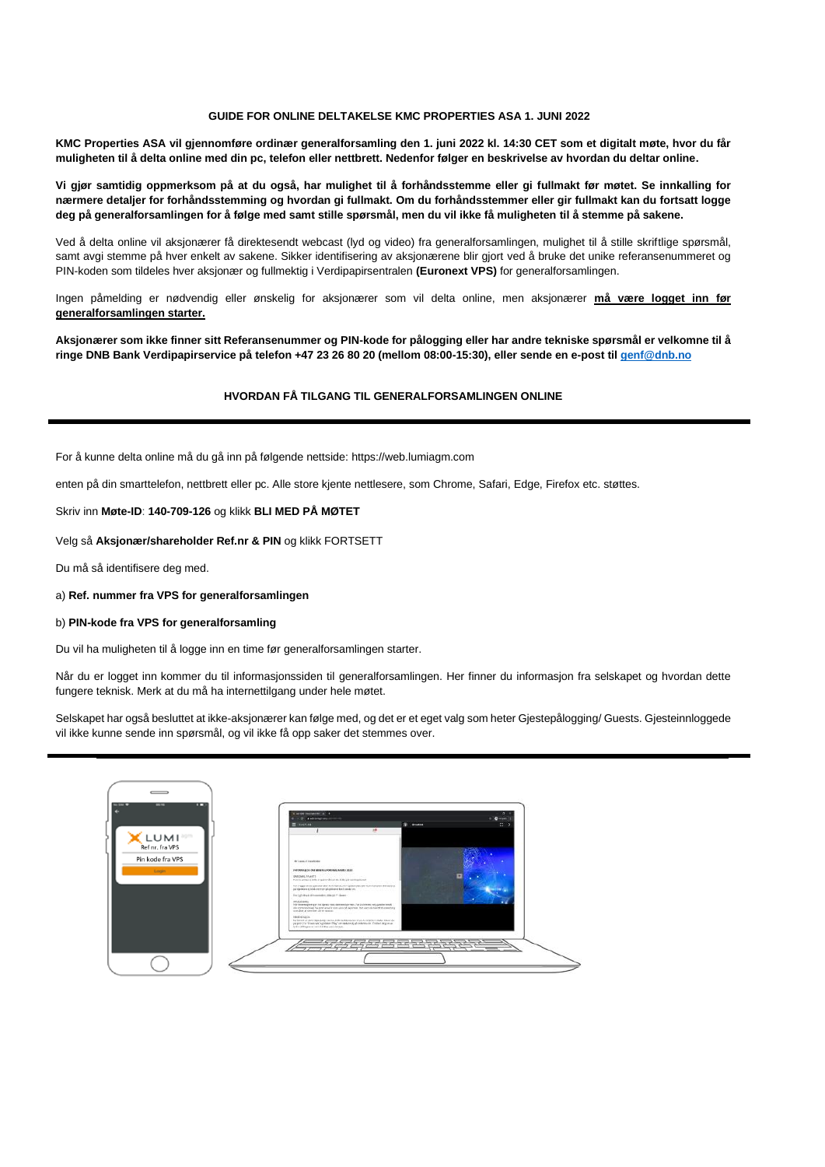#### **GUIDE FOR ONLINE DELTAKELSE KMC PROPERTIES ASA 1. JUNI 2022**

**KMC Properties ASA vil gjennomføre ordinær generalforsamling den 1. juni 2022 kl. 14:30 CET som et digitalt møte, hvor du får muligheten til å delta online med din pc, telefon eller nettbrett. Nedenfor følger en beskrivelse av hvordan du deltar online.** 

**Vi gjør samtidig oppmerksom på at du også, har mulighet til å forhåndsstemme eller gi fullmakt før møtet. Se innkalling for nærmere detaljer for forhåndsstemming og hvordan gi fullmakt. Om du forhåndsstemmer eller gir fullmakt kan du fortsatt logge deg på generalforsamlingen for å følge med samt stille spørsmål, men du vil ikke få muligheten til å stemme på sakene.**

Ved å delta online vil aksjonærer få direktesendt webcast (lyd og video) fra generalforsamlingen, mulighet til å stille skriftlige spørsmål, samt avgi stemme på hver enkelt av sakene. Sikker identifisering av aksjonærene blir gjort ved å bruke det unike referansenummeret og PIN-koden som tildeles hver aksjonær og fullmektig i Verdipapirsentralen **(Euronext VPS)** for generalforsamlingen.

Ingen påmelding er nødvendig eller ønskelig for aksjonærer som vil delta online, men aksjonærer **må være logget inn før generalforsamlingen starter.**

**Aksjonærer som ikke finner sitt Referansenummer og PIN-kode for pålogging eller har andre tekniske spørsmål er velkomne til å ringe DNB Bank Verdipapirservice på telefon +47 23 26 80 20 (mellom 08:00-15:30), eller sende en e-post til [genf@dnb.no](mailto:genf@dnb.no)**

#### **HVORDAN FÅ TILGANG TIL GENERALFORSAMLINGEN ONLINE**

For å kunne delta online må du gå inn på følgende nettside[: https://web.lumiagm.com](https://web.lumiagm.com/)

enten på din smarttelefon, nettbrett eller pc. Alle store kjente nettlesere, som Chrome, Safari, Edge, Firefox etc. støttes.

Skriv inn **Møte-ID**: **140-709-126** og klikk **BLI MED PÅ MØTET**

Velg så **Aksjonær/shareholder Ref.nr & PIN** og klikk FORTSETT

Du må så identifisere deg med.

a) **Ref. nummer fra VPS for generalforsamlingen**

#### b) **PIN-kode fra VPS for generalforsamling**

Du vil ha muligheten til å logge inn en time før generalforsamlingen starter.

Når du er logget inn kommer du til informasjonssiden til generalforsamlingen. Her finner du informasjon fra selskapet og hvordan dette fungere teknisk. Merk at du må ha internettilgang under hele møtet.

Selskapet har også besluttet at ikke-aksjonærer kan følge med, og det er et eget valg som heter Gjestepålogging/ Guests. Gjesteinnloggede vil ikke kunne sende inn spørsmål, og vil ikke få opp saker det stemmes over.

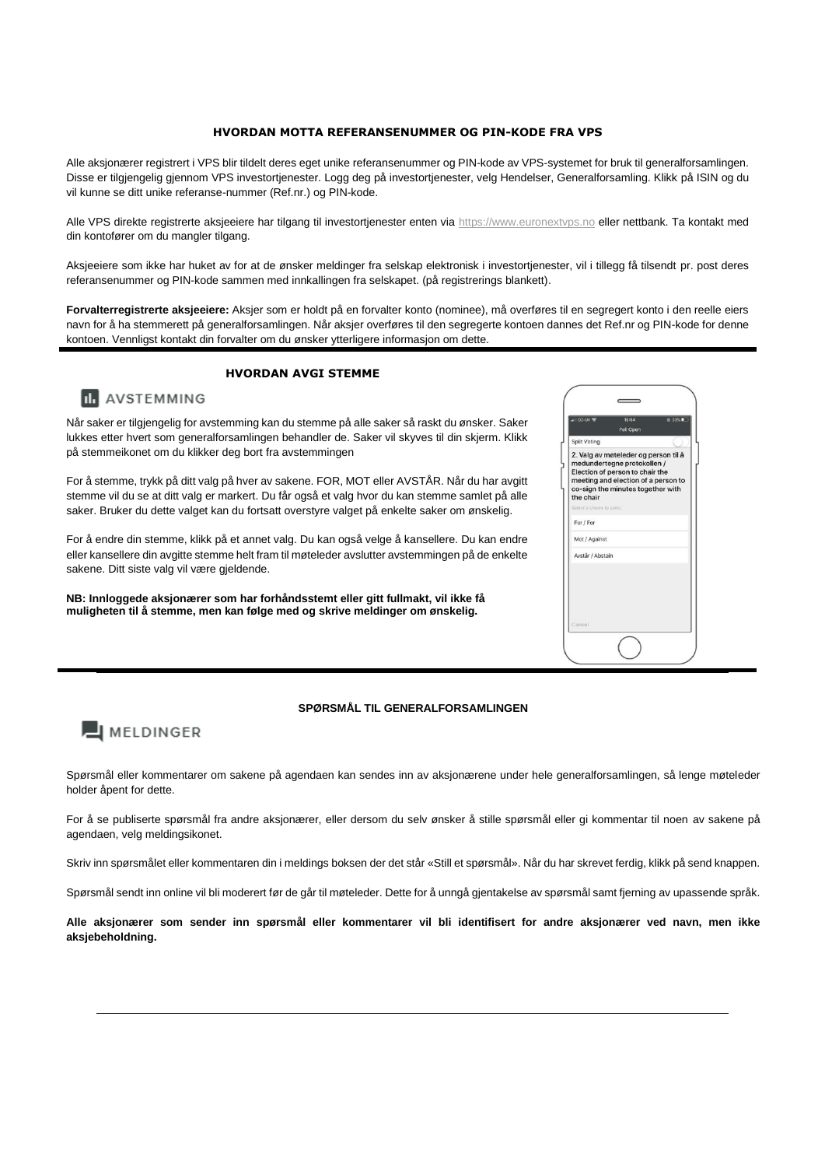#### **HVORDAN MOTTA REFERANSENUMMER OG PIN-KODE FRA VPS**

Alle aksjonærer registrert i VPS blir tildelt deres eget unike referansenummer og PIN-kode av VPS-systemet for bruk til generalforsamlingen. Disse er tilgjengelig gjennom VPS investortjenester. Logg deg på investortjenester, velg Hendelser, Generalforsamling. Klikk på ISIN og du vil kunne se ditt unike referanse-nummer (Ref.nr.) og PIN-kode.

Alle VPS direkte registrerte aksjeeiere har tilgang til investortjenester enten via [https://www.euronextvps.no](https://www.euronextvps.no/) eller nettbank. Ta kontakt med din kontofører om du mangler tilgang.

Aksjeeiere som ikke har huket av for at de ønsker meldinger fra selskap elektronisk i investortjenester, vil i tillegg få tilsendt pr. post deres referansenummer og PIN-kode sammen med innkallingen fra selskapet. (på registrerings blankett).

**Forvalterregistrerte aksjeeiere:** Aksjer som er holdt på en forvalter konto (nominee), må overføres til en segregert konto i den reelle eiers navn for å ha stemmerett på generalforsamlingen. Når aksjer overføres til den segregerte kontoen dannes det Ref.nr og PIN-kode for denne kontoen. Vennligst kontakt din forvalter om du ønsker ytterligere informasjon om dette.

## **HVORDAN AVGI STEMME**



Når saker er tilgjengelig for avstemming kan du stemme på alle saker så raskt du ønsker. Saker lukkes etter hvert som generalforsamlingen behandler de. Saker vil skyves til din skjerm. Klikk på stemmeikonet om du klikker deg bort fra avstemmingen

For å stemme, trykk på ditt valg på hver av sakene. FOR, MOT eller AVSTÅR. Når du har avgitt stemme vil du se at ditt valg er markert. Du får også et valg hvor du kan stemme samlet på alle saker. Bruker du dette valget kan du fortsatt overstyre valget på enkelte saker om ønskelig.

For å endre din stemme, klikk på et annet valg. Du kan også velge å kansellere. Du kan endre eller kansellere din avgitte stemme helt fram til møteleder avslutter avstemmingen på de enkelte sakene. Ditt siste valg vil være gjeldende.

**NB: Innloggede aksjonærer som har forhåndsstemt eller gitt fullmakt, vil ikke få muligheten til å stemme, men kan følge med og skrive meldinger om ønskelig.**

| 02-UK <b>マ</b>           | 15:54<br>Poll Open                                                                                                                                                                 | C 33% |
|--------------------------|------------------------------------------------------------------------------------------------------------------------------------------------------------------------------------|-------|
| Split Voting             |                                                                                                                                                                                    |       |
| the chair                | 2. Valg av møteleder og person til å<br>medundertegne protokollen /<br>Election of person to chair the<br>meeting and election of a person to<br>co-sign the minutes together with |       |
| Select'a choice to send. |                                                                                                                                                                                    |       |
| For / For                |                                                                                                                                                                                    |       |
| Mot / Against            |                                                                                                                                                                                    |       |
| Avstår / Abstain         |                                                                                                                                                                                    |       |
| Cancel                   |                                                                                                                                                                                    |       |

#### **SPØRSMÅL TIL GENERALFORSAMLINGEN**

# **EI** MELDINGER

Spørsmål eller kommentarer om sakene på agendaen kan sendes inn av aksjonærene under hele generalforsamlingen, så lenge møteleder holder åpent for dette.

For å se publiserte spørsmål fra andre aksjonærer, eller dersom du selv ønsker å stille spørsmål eller gi kommentar til noen av sakene på agendaen, velg meldingsikonet.

Skriv inn spørsmålet eller kommentaren din i meldings boksen der det står «Still et spørsmål». Når du har skrevet ferdig, klikk på send knappen.

Spørsmål sendt inn online vil bli moderert før de går til møteleder. Dette for å unngå gjentakelse av spørsmål samt fjerning av upassende språk.

**Alle aksjonærer som sender inn spørsmål eller kommentarer vil bli identifisert for andre aksjonærer ved navn, men ikke aksjebeholdning.**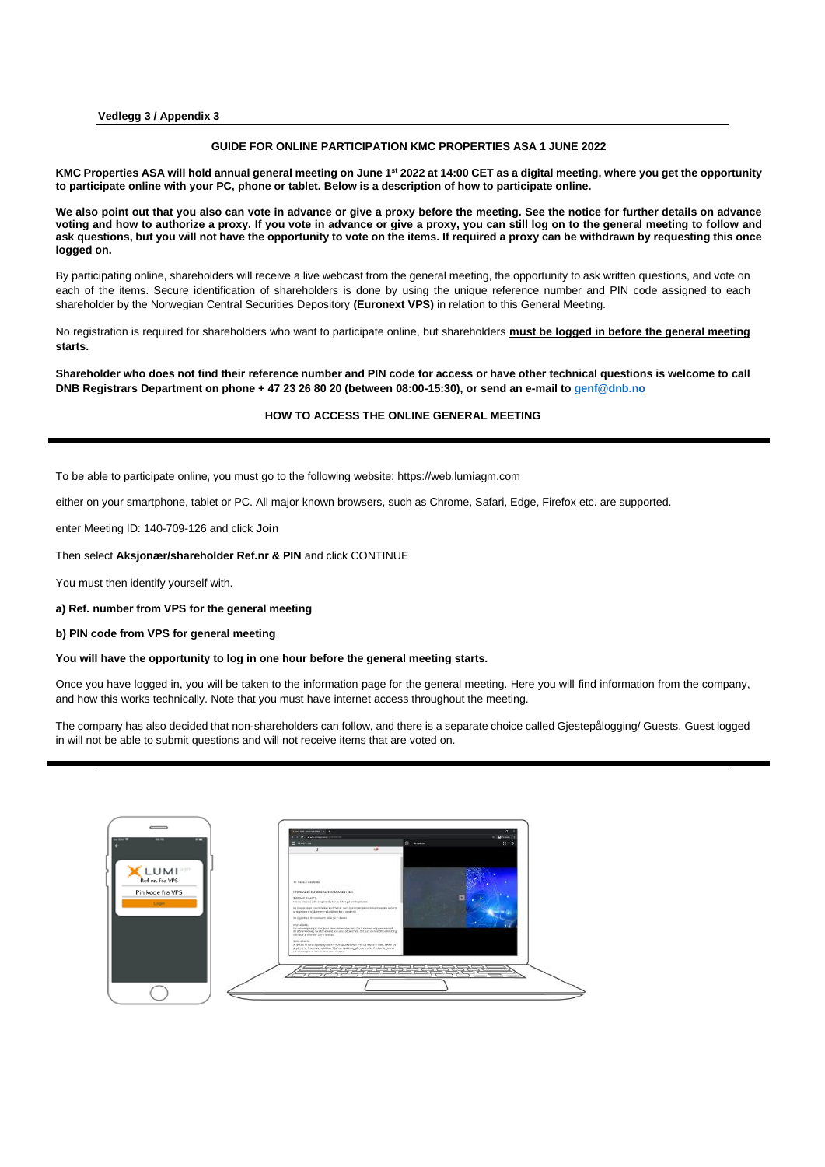**Vedlegg 3 / Appendix 3**

#### **GUIDE FOR ONLINE PARTICIPATION KMC PROPERTIES ASA 1 JUNE 2022**

**KMC Properties ASA will hold annual general meeting on June 1st 2022 at 14:00 CET as a digital meeting, where you get the opportunity to participate online with your PC, phone or tablet. Below is a description of how to participate online.**

**We also point out that you also can vote in advance or give a proxy before the meeting. See the notice for further details on advance voting and how to authorize a proxy. If you vote in advance or give a proxy, you can still log on to the general meeting to follow and ask questions, but you will not have the opportunity to vote on the items. If required a proxy can be withdrawn by requesting this once logged on.**

By participating online, shareholders will receive a live webcast from the general meeting, the opportunity to ask written questions, and vote on each of the items. Secure identification of shareholders is done by using the unique reference number and PIN code assigned to each shareholder by the Norwegian Central Securities Depository **(Euronext VPS)** in relation to this General Meeting.

No registration is required for shareholders who want to participate online, but shareholders **must be logged in before the general meeting starts.**

**Shareholder who does not find their reference number and PIN code for access or have other technical questions is welcome to call DNB Registrars Department on phone + 47 23 26 80 20 (between 08:00-15:30), or send an e-mail t[o genf@dnb.no](mailto:genf@dnb.no)**

#### **HOW TO ACCESS THE ONLINE GENERAL MEETING**

To be able to participate online, you must go to the following website: [https://web.lumiagm.com](https://web.lumiagm.com/)

either on your smartphone, tablet or PC. All major known browsers, such as Chrome, Safari, Edge, Firefox etc. are supported.

enter Meeting ID: 140-709-126 and click **Join**

Then select **Aksjonær/shareholder Ref.nr & PIN** and click CONTINUE

You must then identify yourself with.

**a) Ref. number from VPS for the general meeting**

**b) PIN code from VPS for general meeting**

#### **You will have the opportunity to log in one hour before the general meeting starts.**

Once you have logged in, you will be taken to the information page for the general meeting. Here you will find information from the company, and how this works technically. Note that you must have internet access throughout the meeting.

The company has also decided that non-shareholders can follow, and there is a separate choice called Gjestepålogging/ Guests. Guest logged in will not be able to submit questions and will not receive items that are voted on.

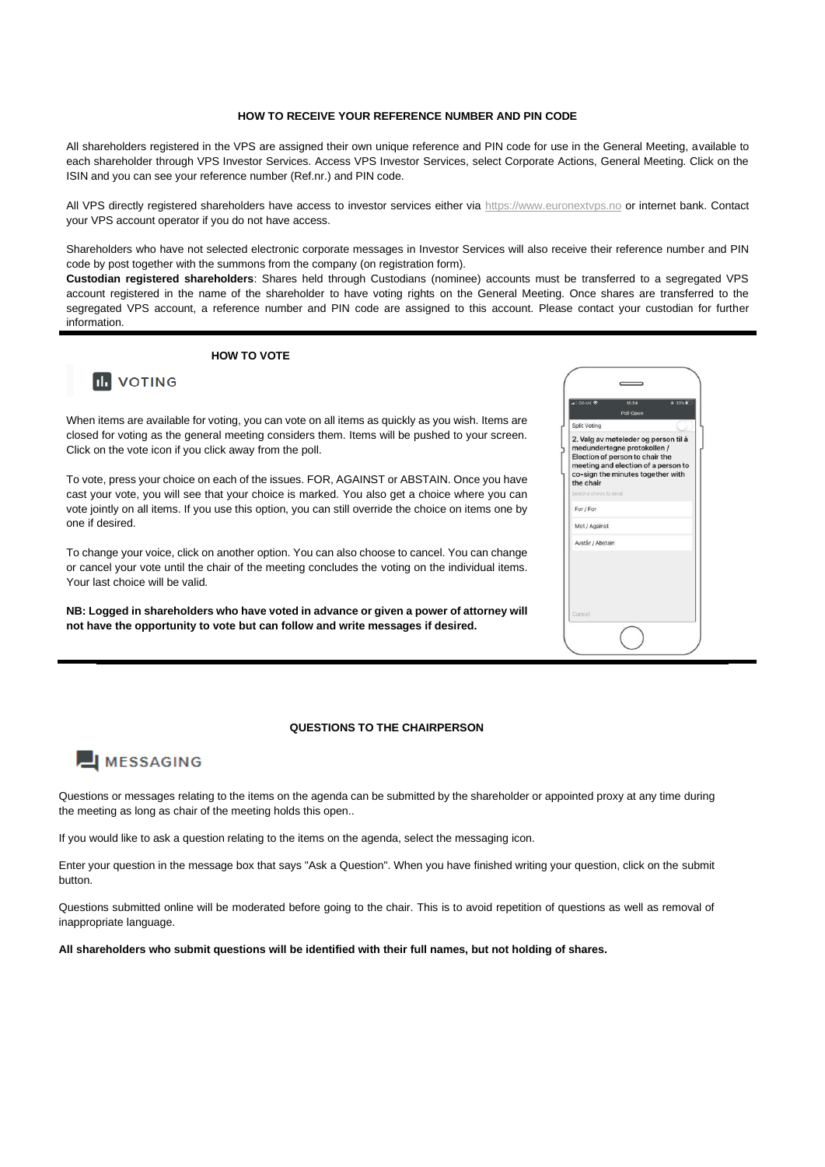#### **HOW TO RECEIVE YOUR REFERENCE NUMBER AND PIN CODE**

All shareholders registered in the VPS are assigned their own unique reference and PIN code for use in the General Meeting, available to each shareholder through VPS Investor Services. Access VPS Investor Services, select Corporate Actions, General Meeting. Click on the ISIN and you can see your reference number (Ref.nr.) and PIN code.

All VPS directly registered shareholders have access to investor services either via [https://www.euronextvps.no](https://www.euronextvps.no/) or internet bank. Contact your VPS account operator if you do not have access.

Shareholders who have not selected electronic corporate messages in Investor Services will also receive their reference number and PIN code by post together with the summons from the company (on registration form).

**Custodian registered shareholders**: Shares held through Custodians (nominee) accounts must be transferred to a segregated VPS account registered in the name of the shareholder to have voting rights on the General Meeting. Once shares are transferred to the segregated VPS account, a reference number and PIN code are assigned to this account. Please contact your custodian for further information.

### **HOW TO VOTE**

# **III** VOTING

When items are available for voting, you can vote on all items as quickly as you wish. Items are closed for voting as the general meeting considers them. Items will be pushed to your screen. Click on the vote icon if you click away from the poll.

To vote, press your choice on each of the issues. FOR, AGAINST or ABSTAIN. Once you have cast your vote, you will see that your choice is marked. You also get a choice where you can vote jointly on all items. If you use this option, you can still override the choice on items one by one if desired.

To change your voice, click on another option. You can also choose to cancel. You can change or cancel your vote until the chair of the meeting concludes the voting on the individual items. Your last choice will be valid.

**NB: Logged in shareholders who have voted in advance or given a power of attorney will not have the opportunity to vote but can follow and write messages if desired.**

# 2. Valg av møteleder og person til å<br>medundertegne protokollen / Election of person to chair the meeting and election of a person to co-sign the minutes together with<br>the chair  $For I For$ Mot / Agains Avstår / Abstair

#### **QUESTIONS TO THE CHAIRPERSON**

# **EI MESSAGING**

Questions or messages relating to the items on the agenda can be submitted by the shareholder or appointed proxy at any time during the meeting as long as chair of the meeting holds this open..

If you would like to ask a question relating to the items on the agenda, select the messaging icon.

Enter your question in the message box that says "Ask a Question". When you have finished writing your question, click on the submit button.

Questions submitted online will be moderated before going to the chair. This is to avoid repetition of questions as well as removal of inappropriate language.

**All shareholders who submit questions will be identified with their full names, but not holding of shares.**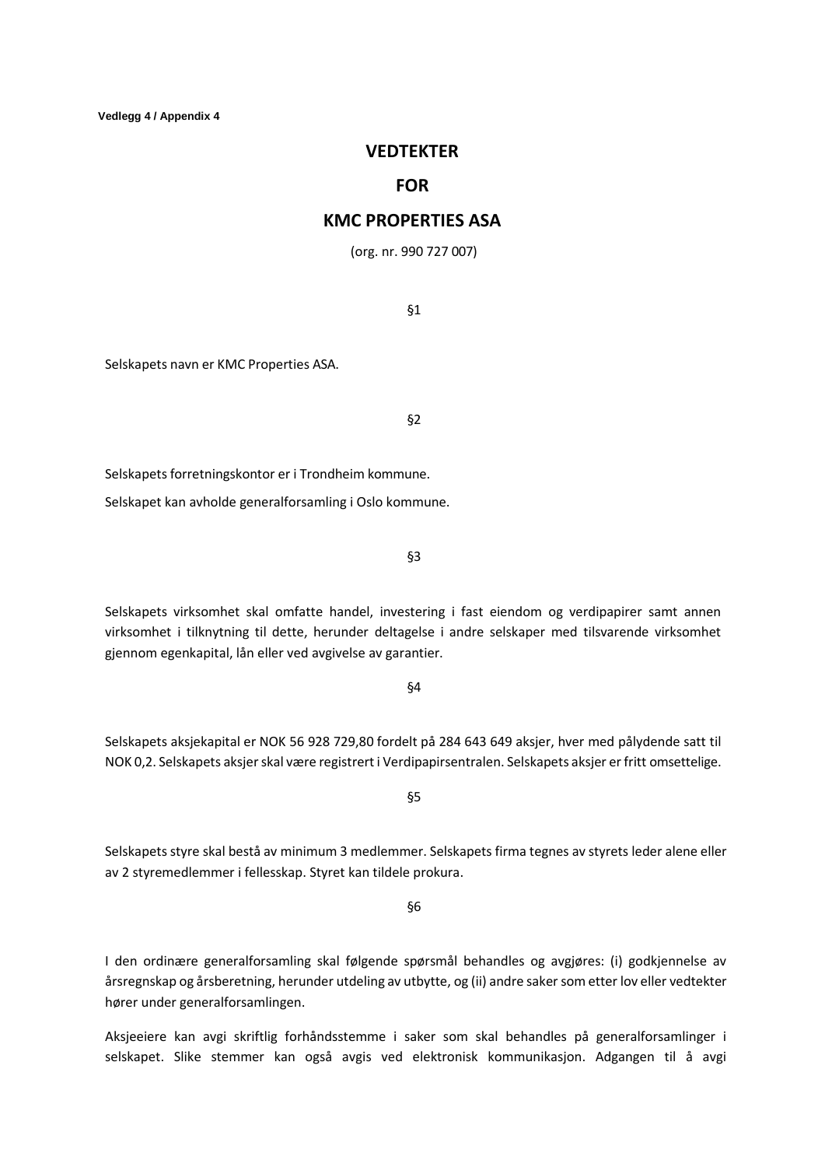# **VEDTEKTER**

# **FOR**

# **KMC PROPERTIES ASA**

(org. nr. 990 727 007)

§1

Selskapets navn er KMC Properties ASA.

§2

Selskapets forretningskontor er i Trondheim kommune.

Selskapet kan avholde generalforsamling i Oslo kommune.

§3

Selskapets virksomhet skal omfatte handel, investering i fast eiendom og verdipapirer samt annen virksomhet i tilknytning til dette, herunder deltagelse i andre selskaper med tilsvarende virksomhet gjennom egenkapital, lån eller ved avgivelse av garantier.

§4

Selskapets aksjekapital er NOK 56 928 729,80 fordelt på 284 643 649 aksjer, hver med pålydende satt til NOK 0,2. Selskapets aksjer skal være registrert i Verdipapirsentralen. Selskapets aksjer er fritt omsettelige.

§5

Selskapets styre skal bestå av minimum 3 medlemmer. Selskapets firma tegnes av styrets leder alene eller av 2 styremedlemmer i fellesskap. Styret kan tildele prokura.

§6

I den ordinære generalforsamling skal følgende spørsmål behandles og avgjøres: (i) godkjennelse av årsregnskap og årsberetning, herunder utdeling av utbytte, og (ii) andre saker som etter lov eller vedtekter hører under generalforsamlingen.

Aksjeeiere kan avgi skriftlig forhåndsstemme i saker som skal behandles på generalforsamlinger i selskapet. Slike stemmer kan også avgis ved elektronisk kommunikasjon. Adgangen til å avgi